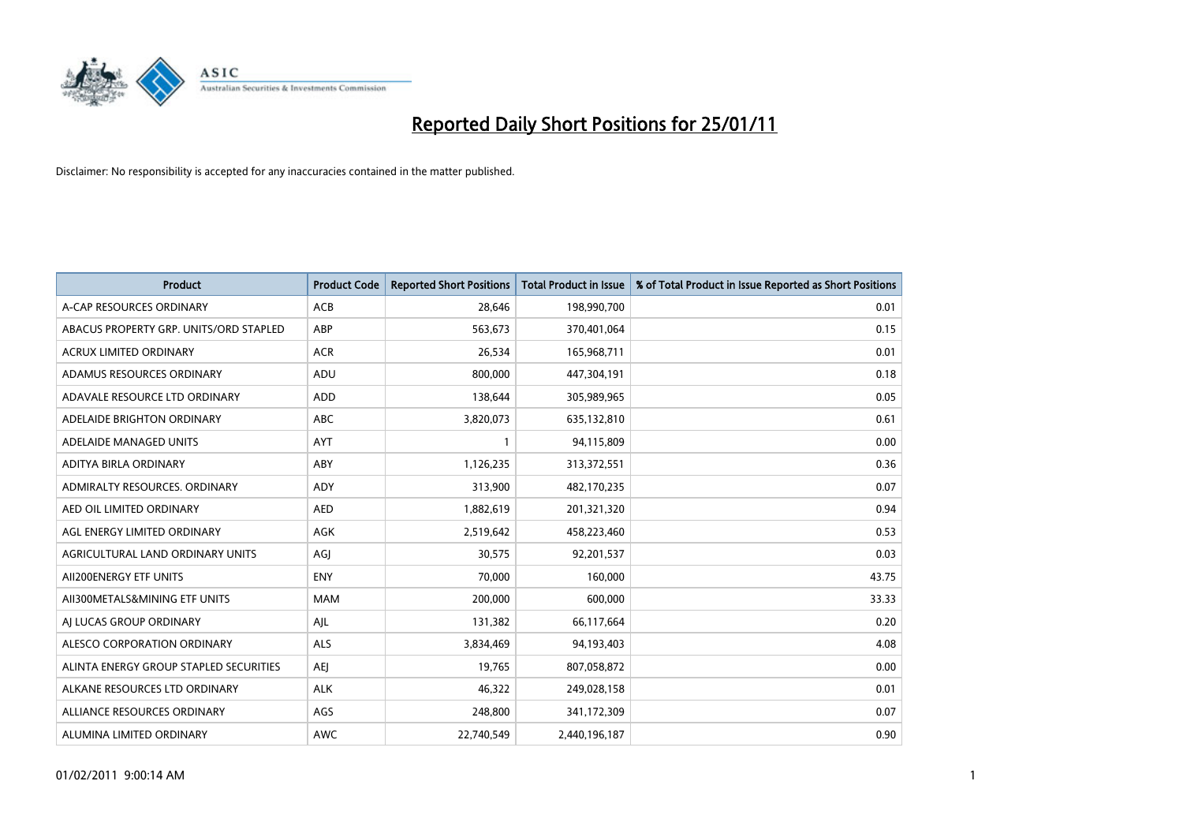

| <b>Product</b>                         | <b>Product Code</b> | <b>Reported Short Positions</b> | Total Product in Issue | % of Total Product in Issue Reported as Short Positions |
|----------------------------------------|---------------------|---------------------------------|------------------------|---------------------------------------------------------|
| A-CAP RESOURCES ORDINARY               | ACB                 | 28,646                          | 198,990,700            | 0.01                                                    |
| ABACUS PROPERTY GRP. UNITS/ORD STAPLED | ABP                 | 563,673                         | 370,401,064            | 0.15                                                    |
| <b>ACRUX LIMITED ORDINARY</b>          | <b>ACR</b>          | 26,534                          | 165,968,711            | 0.01                                                    |
| ADAMUS RESOURCES ORDINARY              | ADU                 | 800,000                         | 447,304,191            | 0.18                                                    |
| ADAVALE RESOURCE LTD ORDINARY          | <b>ADD</b>          | 138.644                         | 305,989,965            | 0.05                                                    |
| ADELAIDE BRIGHTON ORDINARY             | <b>ABC</b>          | 3,820,073                       | 635,132,810            | 0.61                                                    |
| ADELAIDE MANAGED UNITS                 | <b>AYT</b>          |                                 | 94,115,809             | 0.00                                                    |
| ADITYA BIRLA ORDINARY                  | ABY                 | 1,126,235                       | 313,372,551            | 0.36                                                    |
| ADMIRALTY RESOURCES. ORDINARY          | <b>ADY</b>          | 313,900                         | 482,170,235            | 0.07                                                    |
| AED OIL LIMITED ORDINARY               | <b>AED</b>          | 1,882,619                       | 201,321,320            | 0.94                                                    |
| AGL ENERGY LIMITED ORDINARY            | <b>AGK</b>          | 2,519,642                       | 458,223,460            | 0.53                                                    |
| AGRICULTURAL LAND ORDINARY UNITS       | AGJ                 | 30,575                          | 92,201,537             | 0.03                                                    |
| AII200ENERGY ETF UNITS                 | <b>ENY</b>          | 70.000                          | 160.000                | 43.75                                                   |
| AII300METALS&MINING ETF UNITS          | <b>MAM</b>          | 200.000                         | 600.000                | 33.33                                                   |
| AI LUCAS GROUP ORDINARY                | AJL                 | 131,382                         | 66,117,664             | 0.20                                                    |
| ALESCO CORPORATION ORDINARY            | <b>ALS</b>          | 3,834,469                       | 94,193,403             | 4.08                                                    |
| ALINTA ENERGY GROUP STAPLED SECURITIES | <b>AEJ</b>          | 19,765                          | 807,058,872            | 0.00                                                    |
| ALKANE RESOURCES LTD ORDINARY          | <b>ALK</b>          | 46,322                          | 249,028,158            | 0.01                                                    |
| ALLIANCE RESOURCES ORDINARY            | AGS                 | 248,800                         | 341,172,309            | 0.07                                                    |
| ALUMINA LIMITED ORDINARY               | <b>AWC</b>          | 22,740,549                      | 2,440,196,187          | 0.90                                                    |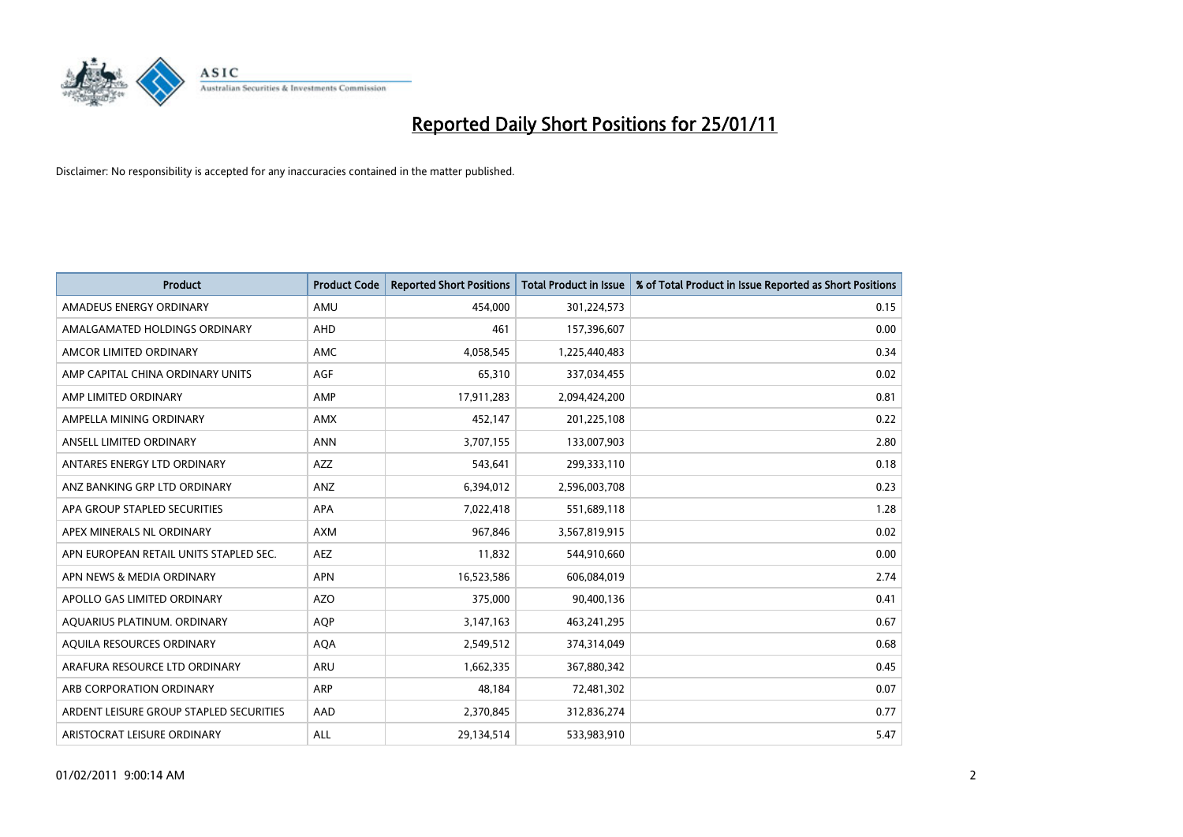

| <b>Product</b>                          | <b>Product Code</b> | <b>Reported Short Positions</b> | <b>Total Product in Issue</b> | % of Total Product in Issue Reported as Short Positions |
|-----------------------------------------|---------------------|---------------------------------|-------------------------------|---------------------------------------------------------|
| AMADEUS ENERGY ORDINARY                 | AMU                 | 454,000                         | 301,224,573                   | 0.15                                                    |
| AMALGAMATED HOLDINGS ORDINARY           | AHD                 | 461                             | 157,396,607                   | 0.00                                                    |
| AMCOR LIMITED ORDINARY                  | <b>AMC</b>          | 4,058,545                       | 1,225,440,483                 | 0.34                                                    |
| AMP CAPITAL CHINA ORDINARY UNITS        | <b>AGF</b>          | 65,310                          | 337,034,455                   | 0.02                                                    |
| AMP LIMITED ORDINARY                    | AMP                 | 17,911,283                      | 2,094,424,200                 | 0.81                                                    |
| AMPELLA MINING ORDINARY                 | <b>AMX</b>          | 452,147                         | 201,225,108                   | 0.22                                                    |
| ANSELL LIMITED ORDINARY                 | <b>ANN</b>          | 3,707,155                       | 133,007,903                   | 2.80                                                    |
| ANTARES ENERGY LTD ORDINARY             | <b>AZZ</b>          | 543,641                         | 299,333,110                   | 0.18                                                    |
| ANZ BANKING GRP LTD ORDINARY            | ANZ                 | 6,394,012                       | 2,596,003,708                 | 0.23                                                    |
| APA GROUP STAPLED SECURITIES            | <b>APA</b>          | 7,022,418                       | 551,689,118                   | 1.28                                                    |
| APEX MINERALS NL ORDINARY               | <b>AXM</b>          | 967,846                         | 3,567,819,915                 | 0.02                                                    |
| APN EUROPEAN RETAIL UNITS STAPLED SEC.  | <b>AEZ</b>          | 11,832                          | 544,910,660                   | 0.00                                                    |
| APN NEWS & MEDIA ORDINARY               | <b>APN</b>          | 16,523,586                      | 606,084,019                   | 2.74                                                    |
| APOLLO GAS LIMITED ORDINARY             | <b>AZO</b>          | 375,000                         | 90,400,136                    | 0.41                                                    |
| AQUARIUS PLATINUM. ORDINARY             | <b>AOP</b>          | 3,147,163                       | 463,241,295                   | 0.67                                                    |
| AQUILA RESOURCES ORDINARY               | <b>AQA</b>          | 2,549,512                       | 374,314,049                   | 0.68                                                    |
| ARAFURA RESOURCE LTD ORDINARY           | <b>ARU</b>          | 1,662,335                       | 367,880,342                   | 0.45                                                    |
| ARB CORPORATION ORDINARY                | <b>ARP</b>          | 48,184                          | 72,481,302                    | 0.07                                                    |
| ARDENT LEISURE GROUP STAPLED SECURITIES | AAD                 | 2,370,845                       | 312,836,274                   | 0.77                                                    |
| ARISTOCRAT LEISURE ORDINARY             | ALL                 | 29,134,514                      | 533,983,910                   | 5.47                                                    |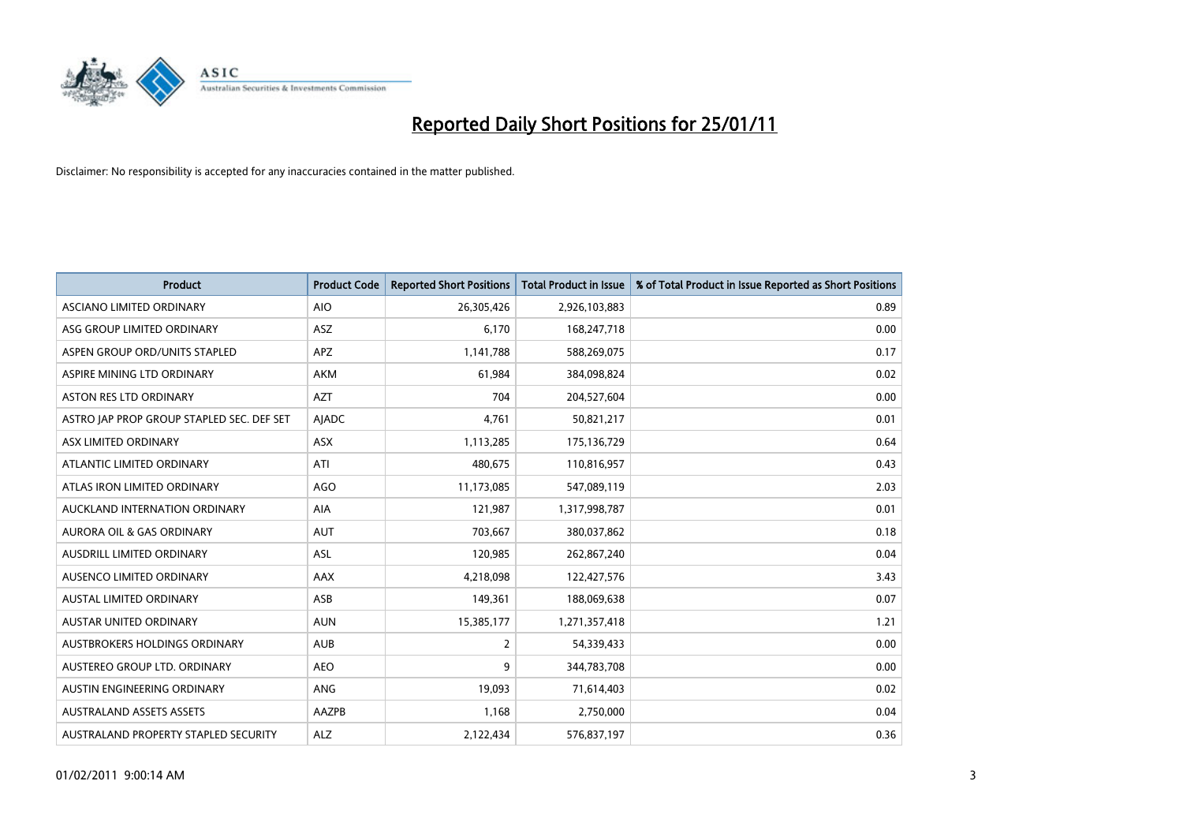

| <b>Product</b>                            | <b>Product Code</b> | <b>Reported Short Positions</b> | <b>Total Product in Issue</b> | % of Total Product in Issue Reported as Short Positions |
|-------------------------------------------|---------------------|---------------------------------|-------------------------------|---------------------------------------------------------|
| ASCIANO LIMITED ORDINARY                  | <b>AIO</b>          | 26,305,426                      | 2,926,103,883                 | 0.89                                                    |
| ASG GROUP LIMITED ORDINARY                | <b>ASZ</b>          | 6,170                           | 168,247,718                   | 0.00                                                    |
| ASPEN GROUP ORD/UNITS STAPLED             | <b>APZ</b>          | 1,141,788                       | 588,269,075                   | 0.17                                                    |
| ASPIRE MINING LTD ORDINARY                | <b>AKM</b>          | 61,984                          | 384,098,824                   | 0.02                                                    |
| <b>ASTON RES LTD ORDINARY</b>             | <b>AZT</b>          | 704                             | 204,527,604                   | 0.00                                                    |
| ASTRO JAP PROP GROUP STAPLED SEC. DEF SET | AJADC               | 4,761                           | 50,821,217                    | 0.01                                                    |
| ASX LIMITED ORDINARY                      | <b>ASX</b>          | 1,113,285                       | 175,136,729                   | 0.64                                                    |
| ATLANTIC LIMITED ORDINARY                 | ATI                 | 480,675                         | 110,816,957                   | 0.43                                                    |
| ATLAS IRON LIMITED ORDINARY               | AGO                 | 11,173,085                      | 547,089,119                   | 2.03                                                    |
| AUCKLAND INTERNATION ORDINARY             | <b>AIA</b>          | 121,987                         | 1,317,998,787                 | 0.01                                                    |
| AURORA OIL & GAS ORDINARY                 | <b>AUT</b>          | 703,667                         | 380,037,862                   | 0.18                                                    |
| AUSDRILL LIMITED ORDINARY                 | ASL                 | 120,985                         | 262,867,240                   | 0.04                                                    |
| AUSENCO LIMITED ORDINARY                  | AAX                 | 4,218,098                       | 122,427,576                   | 3.43                                                    |
| <b>AUSTAL LIMITED ORDINARY</b>            | ASB                 | 149,361                         | 188,069,638                   | 0.07                                                    |
| <b>AUSTAR UNITED ORDINARY</b>             | <b>AUN</b>          | 15,385,177                      | 1,271,357,418                 | 1.21                                                    |
| AUSTBROKERS HOLDINGS ORDINARY             | <b>AUB</b>          | 2                               | 54,339,433                    | 0.00                                                    |
| AUSTEREO GROUP LTD. ORDINARY              | <b>AEO</b>          | 9                               | 344,783,708                   | 0.00                                                    |
| AUSTIN ENGINEERING ORDINARY               | ANG                 | 19,093                          | 71,614,403                    | 0.02                                                    |
| <b>AUSTRALAND ASSETS ASSETS</b>           | <b>AAZPB</b>        | 1,168                           | 2,750,000                     | 0.04                                                    |
| AUSTRALAND PROPERTY STAPLED SECURITY      | <b>ALZ</b>          | 2,122,434                       | 576,837,197                   | 0.36                                                    |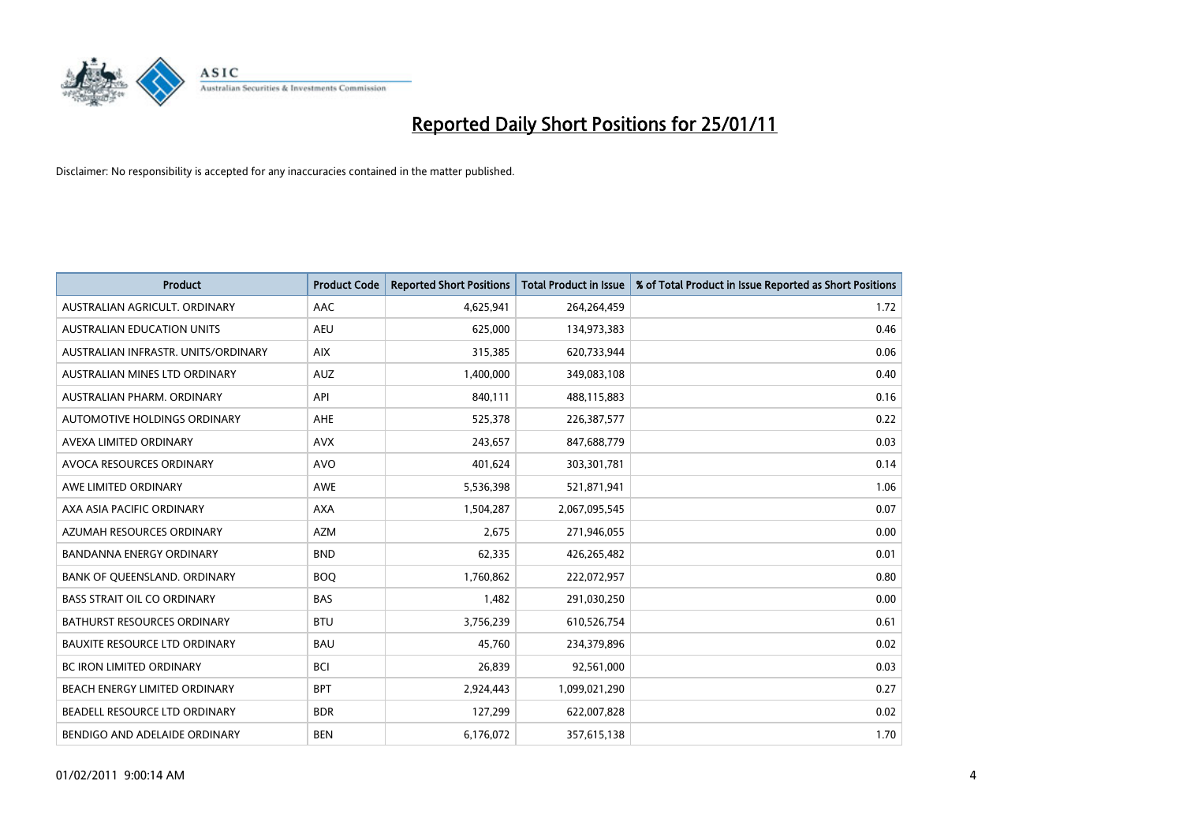

| Product                              | <b>Product Code</b> | <b>Reported Short Positions</b> | Total Product in Issue | % of Total Product in Issue Reported as Short Positions |
|--------------------------------------|---------------------|---------------------------------|------------------------|---------------------------------------------------------|
| AUSTRALIAN AGRICULT, ORDINARY        | AAC                 | 4,625,941                       | 264,264,459            | 1.72                                                    |
| AUSTRALIAN EDUCATION UNITS           | <b>AEU</b>          | 625,000                         | 134,973,383            | 0.46                                                    |
| AUSTRALIAN INFRASTR, UNITS/ORDINARY  | <b>AIX</b>          | 315,385                         | 620,733,944            | 0.06                                                    |
| AUSTRALIAN MINES LTD ORDINARY        | <b>AUZ</b>          | 1,400,000                       | 349,083,108            | 0.40                                                    |
| AUSTRALIAN PHARM, ORDINARY           | API                 | 840,111                         | 488,115,883            | 0.16                                                    |
| AUTOMOTIVE HOLDINGS ORDINARY         | <b>AHE</b>          | 525,378                         | 226,387,577            | 0.22                                                    |
| AVEXA LIMITED ORDINARY               | <b>AVX</b>          | 243,657                         | 847,688,779            | 0.03                                                    |
| AVOCA RESOURCES ORDINARY             | <b>AVO</b>          | 401,624                         | 303,301,781            | 0.14                                                    |
| AWE LIMITED ORDINARY                 | <b>AWE</b>          | 5,536,398                       | 521,871,941            | 1.06                                                    |
| AXA ASIA PACIFIC ORDINARY            | <b>AXA</b>          | 1,504,287                       | 2,067,095,545          | 0.07                                                    |
| AZUMAH RESOURCES ORDINARY            | <b>AZM</b>          | 2,675                           | 271,946,055            | 0.00                                                    |
| <b>BANDANNA ENERGY ORDINARY</b>      | <b>BND</b>          | 62,335                          | 426,265,482            | 0.01                                                    |
| BANK OF QUEENSLAND. ORDINARY         | <b>BOO</b>          | 1,760,862                       | 222,072,957            | 0.80                                                    |
| <b>BASS STRAIT OIL CO ORDINARY</b>   | <b>BAS</b>          | 1,482                           | 291,030,250            | 0.00                                                    |
| <b>BATHURST RESOURCES ORDINARY</b>   | <b>BTU</b>          | 3,756,239                       | 610,526,754            | 0.61                                                    |
| <b>BAUXITE RESOURCE LTD ORDINARY</b> | <b>BAU</b>          | 45,760                          | 234,379,896            | 0.02                                                    |
| <b>BC IRON LIMITED ORDINARY</b>      | <b>BCI</b>          | 26,839                          | 92,561,000             | 0.03                                                    |
| BEACH ENERGY LIMITED ORDINARY        | <b>BPT</b>          | 2,924,443                       | 1,099,021,290          | 0.27                                                    |
| BEADELL RESOURCE LTD ORDINARY        | <b>BDR</b>          | 127,299                         | 622,007,828            | 0.02                                                    |
| BENDIGO AND ADELAIDE ORDINARY        | <b>BEN</b>          | 6,176,072                       | 357,615,138            | 1.70                                                    |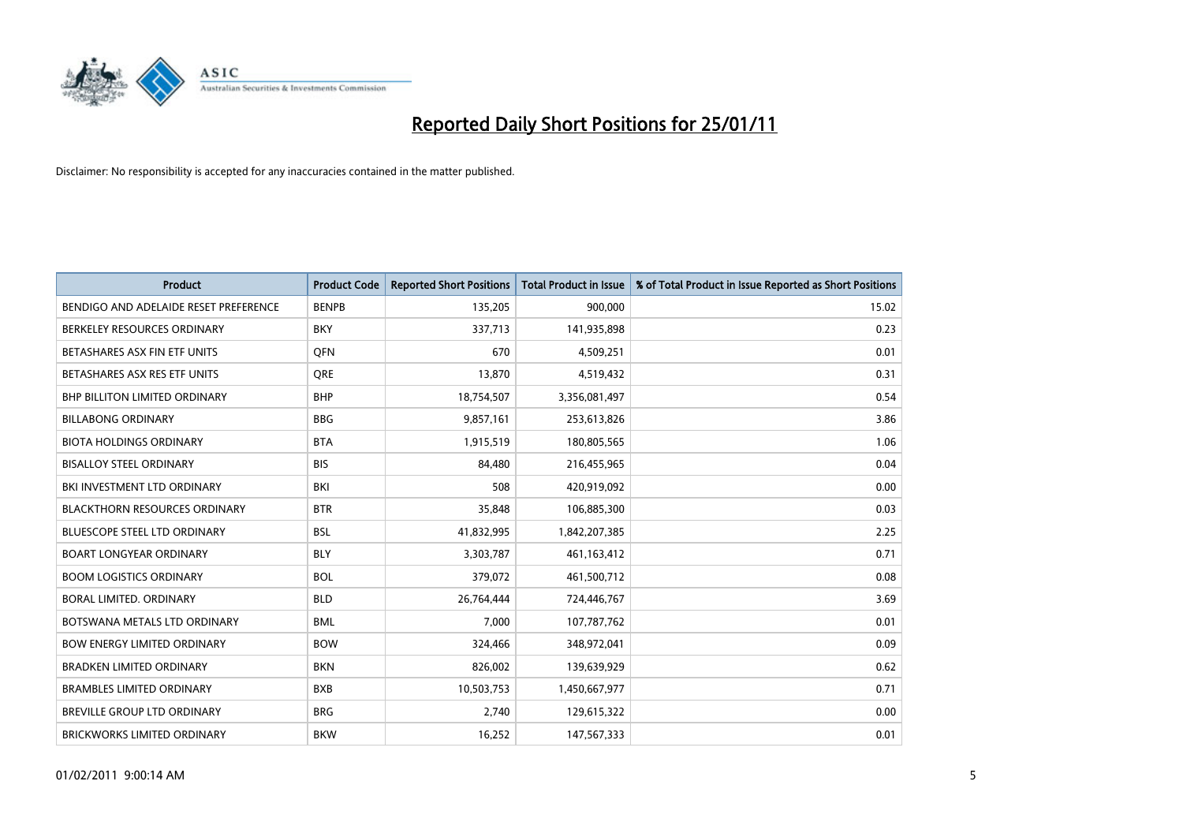

| <b>Product</b>                        | <b>Product Code</b> | <b>Reported Short Positions</b> | <b>Total Product in Issue</b> | % of Total Product in Issue Reported as Short Positions |
|---------------------------------------|---------------------|---------------------------------|-------------------------------|---------------------------------------------------------|
| BENDIGO AND ADELAIDE RESET PREFERENCE | <b>BENPB</b>        | 135,205                         | 900,000                       | 15.02                                                   |
| BERKELEY RESOURCES ORDINARY           | <b>BKY</b>          | 337,713                         | 141,935,898                   | 0.23                                                    |
| BETASHARES ASX FIN ETF UNITS          | <b>OFN</b>          | 670                             | 4,509,251                     | 0.01                                                    |
| BETASHARES ASX RES ETF UNITS          | <b>ORE</b>          | 13,870                          | 4,519,432                     | 0.31                                                    |
| <b>BHP BILLITON LIMITED ORDINARY</b>  | <b>BHP</b>          | 18,754,507                      | 3,356,081,497                 | 0.54                                                    |
| <b>BILLABONG ORDINARY</b>             | <b>BBG</b>          | 9,857,161                       | 253,613,826                   | 3.86                                                    |
| <b>BIOTA HOLDINGS ORDINARY</b>        | <b>BTA</b>          | 1,915,519                       | 180,805,565                   | 1.06                                                    |
| <b>BISALLOY STEEL ORDINARY</b>        | <b>BIS</b>          | 84,480                          | 216,455,965                   | 0.04                                                    |
| BKI INVESTMENT LTD ORDINARY           | <b>BKI</b>          | 508                             | 420,919,092                   | 0.00                                                    |
| <b>BLACKTHORN RESOURCES ORDINARY</b>  | <b>BTR</b>          | 35,848                          | 106,885,300                   | 0.03                                                    |
| <b>BLUESCOPE STEEL LTD ORDINARY</b>   | <b>BSL</b>          | 41,832,995                      | 1,842,207,385                 | 2.25                                                    |
| <b>BOART LONGYEAR ORDINARY</b>        | <b>BLY</b>          | 3,303,787                       | 461,163,412                   | 0.71                                                    |
| <b>BOOM LOGISTICS ORDINARY</b>        | <b>BOL</b>          | 379,072                         | 461,500,712                   | 0.08                                                    |
| <b>BORAL LIMITED, ORDINARY</b>        | <b>BLD</b>          | 26,764,444                      | 724,446,767                   | 3.69                                                    |
| BOTSWANA METALS LTD ORDINARY          | <b>BML</b>          | 7,000                           | 107,787,762                   | 0.01                                                    |
| <b>BOW ENERGY LIMITED ORDINARY</b>    | <b>BOW</b>          | 324,466                         | 348,972,041                   | 0.09                                                    |
| <b>BRADKEN LIMITED ORDINARY</b>       | <b>BKN</b>          | 826,002                         | 139,639,929                   | 0.62                                                    |
| BRAMBLES LIMITED ORDINARY             | <b>BXB</b>          | 10,503,753                      | 1,450,667,977                 | 0.71                                                    |
| BREVILLE GROUP LTD ORDINARY           | <b>BRG</b>          | 2,740                           | 129,615,322                   | 0.00                                                    |
| <b>BRICKWORKS LIMITED ORDINARY</b>    | <b>BKW</b>          | 16,252                          | 147,567,333                   | 0.01                                                    |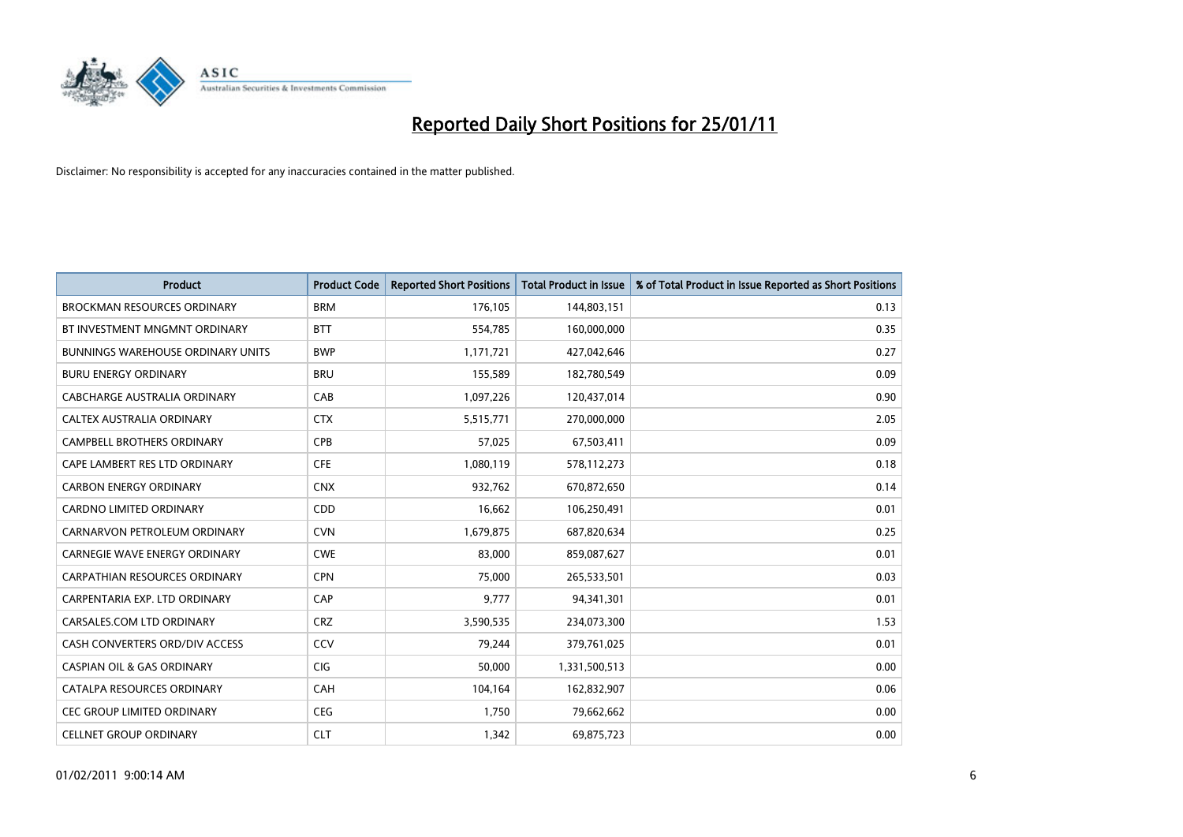

| <b>Product</b>                           | <b>Product Code</b> | <b>Reported Short Positions</b> | Total Product in Issue | % of Total Product in Issue Reported as Short Positions |
|------------------------------------------|---------------------|---------------------------------|------------------------|---------------------------------------------------------|
| <b>BROCKMAN RESOURCES ORDINARY</b>       | <b>BRM</b>          | 176,105                         | 144,803,151            | 0.13                                                    |
| BT INVESTMENT MNGMNT ORDINARY            | <b>BTT</b>          | 554,785                         | 160,000,000            | 0.35                                                    |
| <b>BUNNINGS WAREHOUSE ORDINARY UNITS</b> | <b>BWP</b>          | 1,171,721                       | 427,042,646            | 0.27                                                    |
| <b>BURU ENERGY ORDINARY</b>              | <b>BRU</b>          | 155,589                         | 182,780,549            | 0.09                                                    |
| CABCHARGE AUSTRALIA ORDINARY             | CAB                 | 1,097,226                       | 120,437,014            | 0.90                                                    |
| CALTEX AUSTRALIA ORDINARY                | <b>CTX</b>          | 5,515,771                       | 270,000,000            | 2.05                                                    |
| <b>CAMPBELL BROTHERS ORDINARY</b>        | <b>CPB</b>          | 57,025                          | 67,503,411             | 0.09                                                    |
| CAPE LAMBERT RES LTD ORDINARY            | <b>CFE</b>          | 1,080,119                       | 578,112,273            | 0.18                                                    |
| <b>CARBON ENERGY ORDINARY</b>            | <b>CNX</b>          | 932,762                         | 670,872,650            | 0.14                                                    |
| <b>CARDNO LIMITED ORDINARY</b>           | CDD                 | 16,662                          | 106,250,491            | 0.01                                                    |
| CARNARVON PETROLEUM ORDINARY             | <b>CVN</b>          | 1,679,875                       | 687,820,634            | 0.25                                                    |
| CARNEGIE WAVE ENERGY ORDINARY            | <b>CWE</b>          | 83,000                          | 859,087,627            | 0.01                                                    |
| <b>CARPATHIAN RESOURCES ORDINARY</b>     | <b>CPN</b>          | 75.000                          | 265,533,501            | 0.03                                                    |
| CARPENTARIA EXP. LTD ORDINARY            | CAP                 | 9.777                           | 94,341,301             | 0.01                                                    |
| CARSALES.COM LTD ORDINARY                | <b>CRZ</b>          | 3,590,535                       | 234,073,300            | 1.53                                                    |
| CASH CONVERTERS ORD/DIV ACCESS           | <b>CCV</b>          | 79,244                          | 379,761,025            | 0.01                                                    |
| <b>CASPIAN OIL &amp; GAS ORDINARY</b>    | <b>CIG</b>          | 50,000                          | 1,331,500,513          | 0.00                                                    |
| CATALPA RESOURCES ORDINARY               | CAH                 | 104,164                         | 162,832,907            | 0.06                                                    |
| CEC GROUP LIMITED ORDINARY               | <b>CEG</b>          | 1,750                           | 79,662,662             | 0.00                                                    |
| <b>CELLNET GROUP ORDINARY</b>            | <b>CLT</b>          | 1,342                           | 69,875,723             | 0.00                                                    |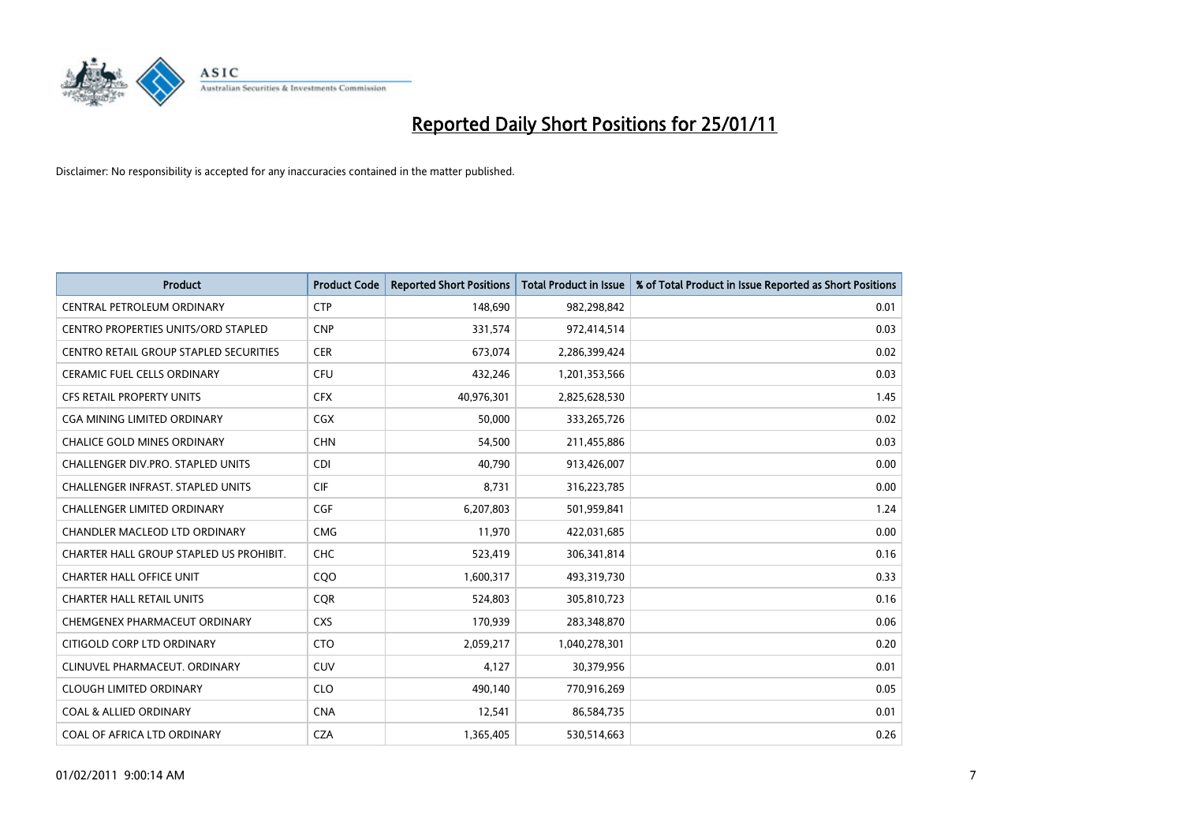

| <b>Product</b>                                | <b>Product Code</b> | <b>Reported Short Positions</b> | <b>Total Product in Issue</b> | % of Total Product in Issue Reported as Short Positions |
|-----------------------------------------------|---------------------|---------------------------------|-------------------------------|---------------------------------------------------------|
| CENTRAL PETROLEUM ORDINARY                    | <b>CTP</b>          | 148,690                         | 982,298,842                   | 0.01                                                    |
| CENTRO PROPERTIES UNITS/ORD STAPLED           | <b>CNP</b>          | 331,574                         | 972,414,514                   | 0.03                                                    |
| <b>CENTRO RETAIL GROUP STAPLED SECURITIES</b> | <b>CER</b>          | 673,074                         | 2,286,399,424                 | 0.02                                                    |
| CERAMIC FUEL CELLS ORDINARY                   | <b>CFU</b>          | 432,246                         | 1,201,353,566                 | 0.03                                                    |
| <b>CFS RETAIL PROPERTY UNITS</b>              | <b>CFX</b>          | 40,976,301                      | 2,825,628,530                 | 1.45                                                    |
| <b>CGA MINING LIMITED ORDINARY</b>            | <b>CGX</b>          | 50,000                          | 333,265,726                   | 0.02                                                    |
| <b>CHALICE GOLD MINES ORDINARY</b>            | <b>CHN</b>          | 54,500                          | 211,455,886                   | 0.03                                                    |
| CHALLENGER DIV.PRO. STAPLED UNITS             | <b>CDI</b>          | 40,790                          | 913,426,007                   | 0.00                                                    |
| CHALLENGER INFRAST. STAPLED UNITS             | <b>CIF</b>          | 8,731                           | 316,223,785                   | 0.00                                                    |
| <b>CHALLENGER LIMITED ORDINARY</b>            | <b>CGF</b>          | 6,207,803                       | 501,959,841                   | 1.24                                                    |
| CHANDLER MACLEOD LTD ORDINARY                 | <b>CMG</b>          | 11,970                          | 422,031,685                   | 0.00                                                    |
| CHARTER HALL GROUP STAPLED US PROHIBIT.       | <b>CHC</b>          | 523,419                         | 306,341,814                   | 0.16                                                    |
| <b>CHARTER HALL OFFICE UNIT</b>               | CQO                 | 1,600,317                       | 493,319,730                   | 0.33                                                    |
| <b>CHARTER HALL RETAIL UNITS</b>              | <b>COR</b>          | 524,803                         | 305,810,723                   | 0.16                                                    |
| CHEMGENEX PHARMACEUT ORDINARY                 | <b>CXS</b>          | 170,939                         | 283,348,870                   | 0.06                                                    |
| CITIGOLD CORP LTD ORDINARY                    | <b>CTO</b>          | 2,059,217                       | 1,040,278,301                 | 0.20                                                    |
| CLINUVEL PHARMACEUT, ORDINARY                 | <b>CUV</b>          | 4,127                           | 30,379,956                    | 0.01                                                    |
| <b>CLOUGH LIMITED ORDINARY</b>                | <b>CLO</b>          | 490,140                         | 770,916,269                   | 0.05                                                    |
| <b>COAL &amp; ALLIED ORDINARY</b>             | <b>CNA</b>          | 12,541                          | 86,584,735                    | 0.01                                                    |
| COAL OF AFRICA LTD ORDINARY                   | <b>CZA</b>          | 1,365,405                       | 530,514,663                   | 0.26                                                    |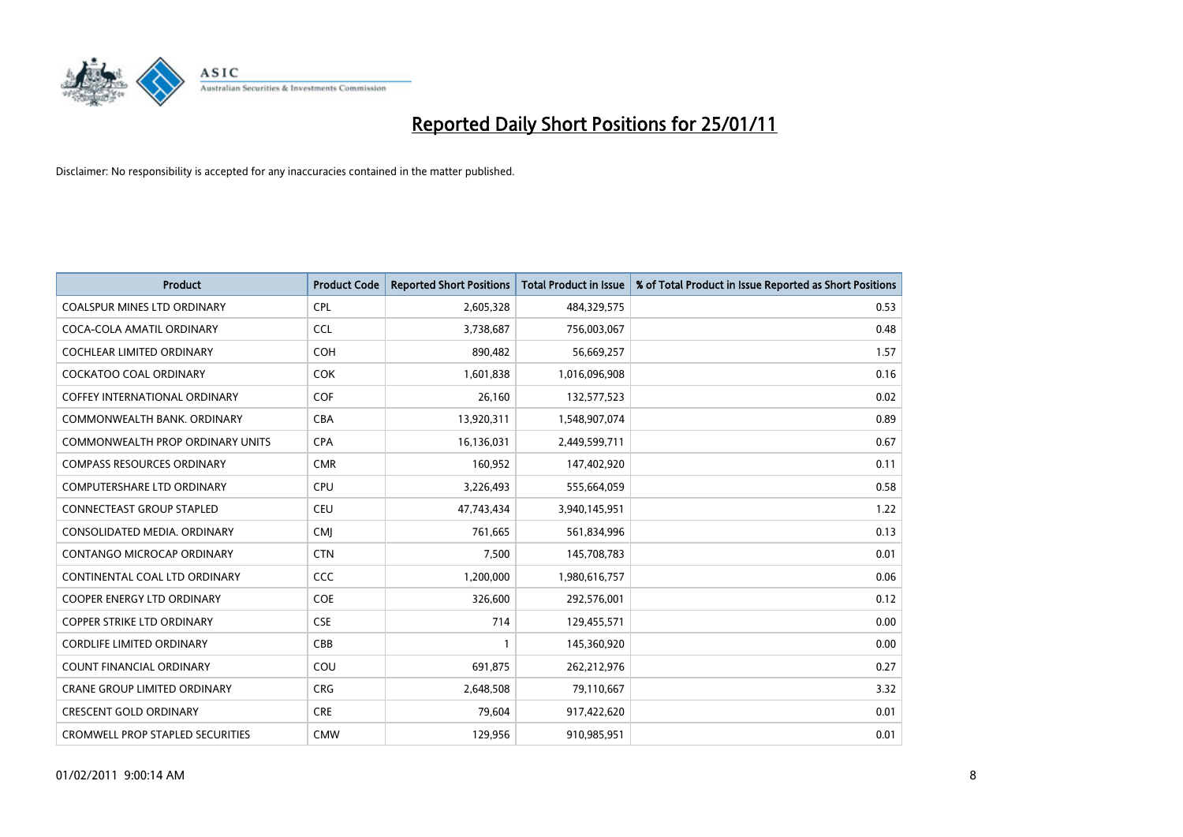

| <b>Product</b>                          | <b>Product Code</b> | <b>Reported Short Positions</b> | <b>Total Product in Issue</b> | % of Total Product in Issue Reported as Short Positions |
|-----------------------------------------|---------------------|---------------------------------|-------------------------------|---------------------------------------------------------|
| <b>COALSPUR MINES LTD ORDINARY</b>      | <b>CPL</b>          | 2,605,328                       | 484,329,575                   | 0.53                                                    |
| COCA-COLA AMATIL ORDINARY               | <b>CCL</b>          | 3,738,687                       | 756,003,067                   | 0.48                                                    |
| <b>COCHLEAR LIMITED ORDINARY</b>        | <b>COH</b>          | 890,482                         | 56,669,257                    | 1.57                                                    |
| COCKATOO COAL ORDINARY                  | <b>COK</b>          | 1,601,838                       | 1,016,096,908                 | 0.16                                                    |
| <b>COFFEY INTERNATIONAL ORDINARY</b>    | <b>COF</b>          | 26,160                          | 132,577,523                   | 0.02                                                    |
| COMMONWEALTH BANK, ORDINARY             | <b>CBA</b>          | 13,920,311                      | 1,548,907,074                 | 0.89                                                    |
| <b>COMMONWEALTH PROP ORDINARY UNITS</b> | <b>CPA</b>          | 16,136,031                      | 2,449,599,711                 | 0.67                                                    |
| <b>COMPASS RESOURCES ORDINARY</b>       | <b>CMR</b>          | 160,952                         | 147,402,920                   | 0.11                                                    |
| <b>COMPUTERSHARE LTD ORDINARY</b>       | <b>CPU</b>          | 3,226,493                       | 555,664,059                   | 0.58                                                    |
| <b>CONNECTEAST GROUP STAPLED</b>        | <b>CEU</b>          | 47,743,434                      | 3,940,145,951                 | 1.22                                                    |
| CONSOLIDATED MEDIA, ORDINARY            | <b>CMI</b>          | 761,665                         | 561,834,996                   | 0.13                                                    |
| <b>CONTANGO MICROCAP ORDINARY</b>       | <b>CTN</b>          | 7,500                           | 145,708,783                   | 0.01                                                    |
| CONTINENTAL COAL LTD ORDINARY           | <b>CCC</b>          | 1,200,000                       | 1,980,616,757                 | 0.06                                                    |
| <b>COOPER ENERGY LTD ORDINARY</b>       | <b>COE</b>          | 326,600                         | 292,576,001                   | 0.12                                                    |
| <b>COPPER STRIKE LTD ORDINARY</b>       | <b>CSE</b>          | 714                             | 129,455,571                   | 0.00                                                    |
| <b>CORDLIFE LIMITED ORDINARY</b>        | CBB                 |                                 | 145,360,920                   | 0.00                                                    |
| <b>COUNT FINANCIAL ORDINARY</b>         | COU                 | 691,875                         | 262,212,976                   | 0.27                                                    |
| <b>CRANE GROUP LIMITED ORDINARY</b>     | <b>CRG</b>          | 2,648,508                       | 79,110,667                    | 3.32                                                    |
| <b>CRESCENT GOLD ORDINARY</b>           | <b>CRE</b>          | 79,604                          | 917,422,620                   | 0.01                                                    |
| <b>CROMWELL PROP STAPLED SECURITIES</b> | <b>CMW</b>          | 129,956                         | 910,985,951                   | 0.01                                                    |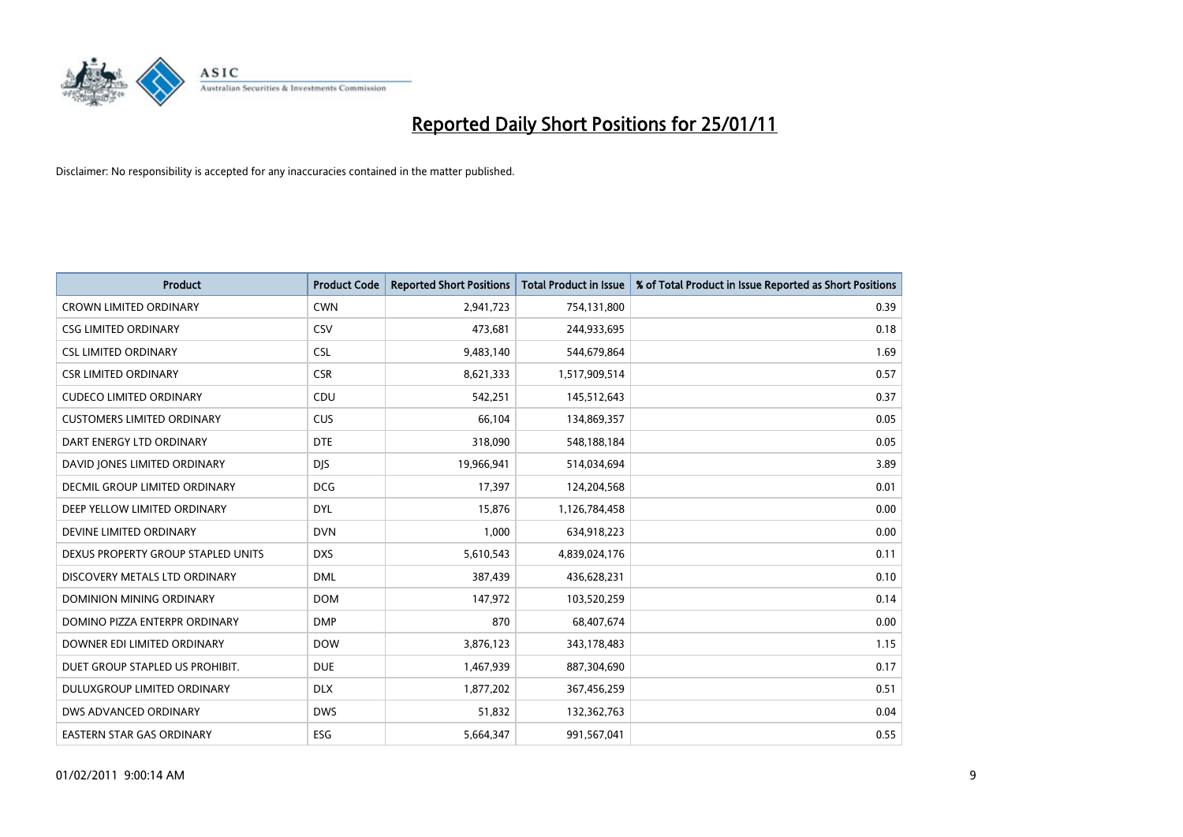

| Product                            | <b>Product Code</b> | <b>Reported Short Positions</b> | <b>Total Product in Issue</b> | % of Total Product in Issue Reported as Short Positions |
|------------------------------------|---------------------|---------------------------------|-------------------------------|---------------------------------------------------------|
| <b>CROWN LIMITED ORDINARY</b>      | <b>CWN</b>          | 2,941,723                       | 754,131,800                   | 0.39                                                    |
| <b>CSG LIMITED ORDINARY</b>        | <b>CSV</b>          | 473,681                         | 244,933,695                   | 0.18                                                    |
| <b>CSL LIMITED ORDINARY</b>        | <b>CSL</b>          | 9,483,140                       | 544,679,864                   | 1.69                                                    |
| <b>CSR LIMITED ORDINARY</b>        | <b>CSR</b>          | 8,621,333                       | 1,517,909,514                 | 0.57                                                    |
| <b>CUDECO LIMITED ORDINARY</b>     | CDU                 | 542,251                         | 145,512,643                   | 0.37                                                    |
| <b>CUSTOMERS LIMITED ORDINARY</b>  | <b>CUS</b>          | 66,104                          | 134,869,357                   | 0.05                                                    |
| DART ENERGY LTD ORDINARY           | <b>DTE</b>          | 318,090                         | 548,188,184                   | 0.05                                                    |
| DAVID JONES LIMITED ORDINARY       | <b>DJS</b>          | 19,966,941                      | 514,034,694                   | 3.89                                                    |
| DECMIL GROUP LIMITED ORDINARY      | <b>DCG</b>          | 17,397                          | 124,204,568                   | 0.01                                                    |
| DEEP YELLOW LIMITED ORDINARY       | <b>DYL</b>          | 15,876                          | 1,126,784,458                 | 0.00                                                    |
| DEVINE LIMITED ORDINARY            | <b>DVN</b>          | 1,000                           | 634,918,223                   | 0.00                                                    |
| DEXUS PROPERTY GROUP STAPLED UNITS | <b>DXS</b>          | 5,610,543                       | 4,839,024,176                 | 0.11                                                    |
| DISCOVERY METALS LTD ORDINARY      | <b>DML</b>          | 387,439                         | 436,628,231                   | 0.10                                                    |
| DOMINION MINING ORDINARY           | <b>DOM</b>          | 147,972                         | 103,520,259                   | 0.14                                                    |
| DOMINO PIZZA ENTERPR ORDINARY      | <b>DMP</b>          | 870                             | 68,407,674                    | 0.00                                                    |
| DOWNER EDI LIMITED ORDINARY        | <b>DOW</b>          | 3,876,123                       | 343,178,483                   | 1.15                                                    |
| DUET GROUP STAPLED US PROHIBIT.    | <b>DUE</b>          | 1,467,939                       | 887,304,690                   | 0.17                                                    |
| DULUXGROUP LIMITED ORDINARY        | <b>DLX</b>          | 1,877,202                       | 367,456,259                   | 0.51                                                    |
| DWS ADVANCED ORDINARY              | <b>DWS</b>          | 51,832                          | 132,362,763                   | 0.04                                                    |
| EASTERN STAR GAS ORDINARY          | ESG                 | 5,664,347                       | 991,567,041                   | 0.55                                                    |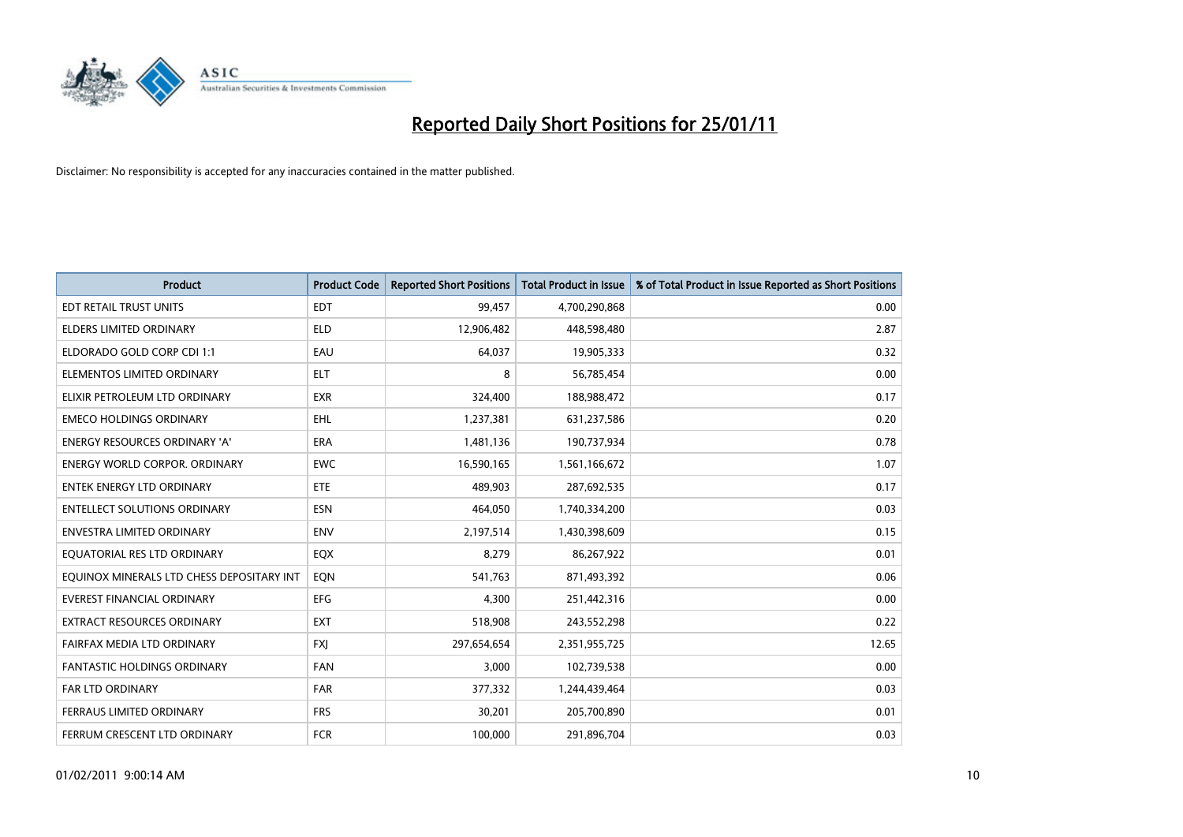

| <b>Product</b>                            | <b>Product Code</b> | <b>Reported Short Positions</b> | Total Product in Issue | % of Total Product in Issue Reported as Short Positions |
|-------------------------------------------|---------------------|---------------------------------|------------------------|---------------------------------------------------------|
| EDT RETAIL TRUST UNITS                    | <b>EDT</b>          | 99,457                          | 4,700,290,868          | 0.00                                                    |
| <b>ELDERS LIMITED ORDINARY</b>            | <b>ELD</b>          | 12,906,482                      | 448,598,480            | 2.87                                                    |
| ELDORADO GOLD CORP CDI 1:1                | EAU                 | 64,037                          | 19,905,333             | 0.32                                                    |
| ELEMENTOS LIMITED ORDINARY                | <b>ELT</b>          | 8                               | 56,785,454             | 0.00                                                    |
| ELIXIR PETROLEUM LTD ORDINARY             | <b>EXR</b>          | 324,400                         | 188,988,472            | 0.17                                                    |
| <b>EMECO HOLDINGS ORDINARY</b>            | <b>EHL</b>          | 1,237,381                       | 631,237,586            | 0.20                                                    |
| <b>ENERGY RESOURCES ORDINARY 'A'</b>      | <b>ERA</b>          | 1,481,136                       | 190,737,934            | 0.78                                                    |
| <b>ENERGY WORLD CORPOR, ORDINARY</b>      | <b>EWC</b>          | 16,590,165                      | 1,561,166,672          | 1.07                                                    |
| <b>ENTEK ENERGY LTD ORDINARY</b>          | <b>ETE</b>          | 489.903                         | 287,692,535            | 0.17                                                    |
| <b>ENTELLECT SOLUTIONS ORDINARY</b>       | <b>ESN</b>          | 464.050                         | 1,740,334,200          | 0.03                                                    |
| <b>ENVESTRA LIMITED ORDINARY</b>          | <b>ENV</b>          | 2,197,514                       | 1,430,398,609          | 0.15                                                    |
| EQUATORIAL RES LTD ORDINARY               | EQX                 | 8,279                           | 86,267,922             | 0.01                                                    |
| EOUINOX MINERALS LTD CHESS DEPOSITARY INT | EQN                 | 541.763                         | 871,493,392            | 0.06                                                    |
| <b>EVEREST FINANCIAL ORDINARY</b>         | <b>EFG</b>          | 4.300                           | 251,442,316            | 0.00                                                    |
| <b>EXTRACT RESOURCES ORDINARY</b>         | <b>EXT</b>          | 518,908                         | 243,552,298            | 0.22                                                    |
| FAIRFAX MEDIA LTD ORDINARY                | <b>FXI</b>          | 297,654,654                     | 2,351,955,725          | 12.65                                                   |
| <b>FANTASTIC HOLDINGS ORDINARY</b>        | <b>FAN</b>          | 3,000                           | 102,739,538            | 0.00                                                    |
| <b>FAR LTD ORDINARY</b>                   | <b>FAR</b>          | 377,332                         | 1,244,439,464          | 0.03                                                    |
| FERRAUS LIMITED ORDINARY                  | <b>FRS</b>          | 30,201                          | 205,700,890            | 0.01                                                    |
| FERRUM CRESCENT LTD ORDINARY              | <b>FCR</b>          | 100.000                         | 291,896,704            | 0.03                                                    |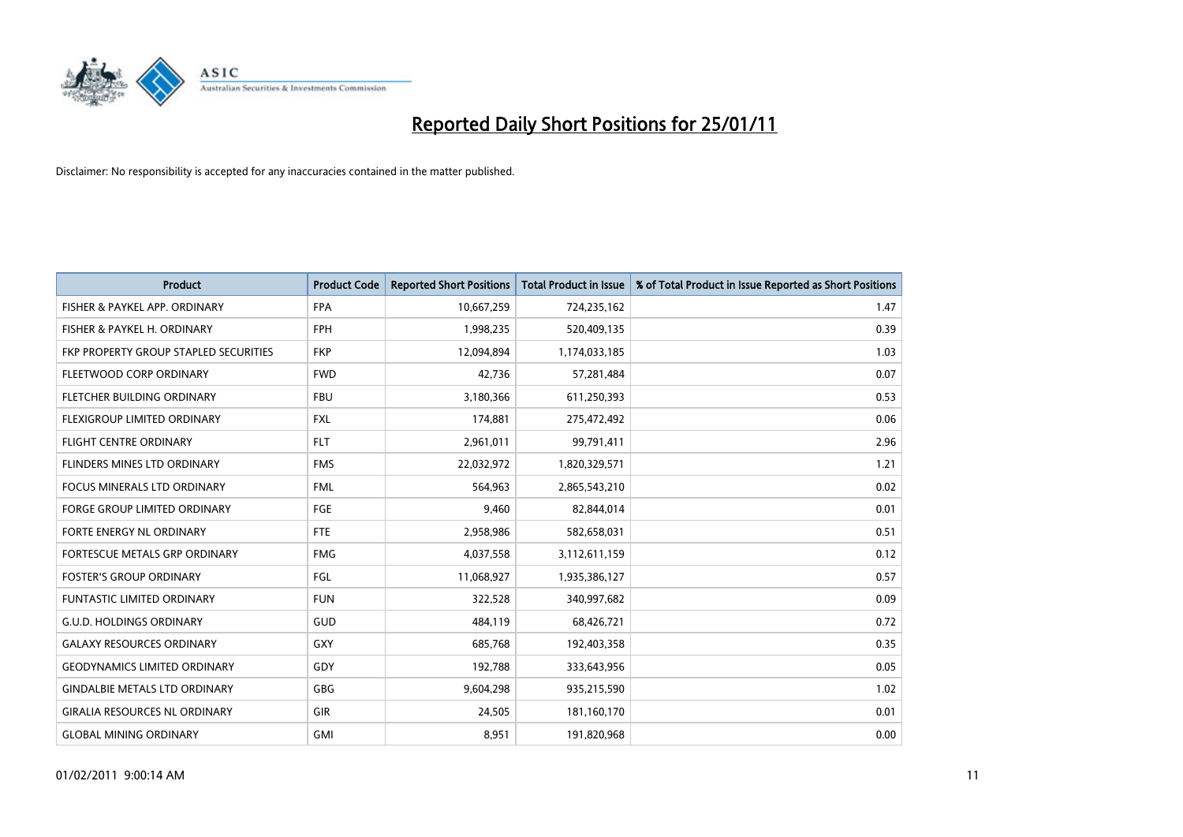

| Product                                      | <b>Product Code</b> | <b>Reported Short Positions</b> | <b>Total Product in Issue</b> | % of Total Product in Issue Reported as Short Positions |
|----------------------------------------------|---------------------|---------------------------------|-------------------------------|---------------------------------------------------------|
| FISHER & PAYKEL APP. ORDINARY                | <b>FPA</b>          | 10,667,259                      | 724,235,162                   | 1.47                                                    |
| FISHER & PAYKEL H. ORDINARY                  | <b>FPH</b>          | 1,998,235                       | 520,409,135                   | 0.39                                                    |
| <b>FKP PROPERTY GROUP STAPLED SECURITIES</b> | <b>FKP</b>          | 12,094,894                      | 1,174,033,185                 | 1.03                                                    |
| FLEETWOOD CORP ORDINARY                      | <b>FWD</b>          | 42,736                          | 57,281,484                    | 0.07                                                    |
| FLETCHER BUILDING ORDINARY                   | <b>FBU</b>          | 3,180,366                       | 611,250,393                   | 0.53                                                    |
| FLEXIGROUP LIMITED ORDINARY                  | <b>FXL</b>          | 174,881                         | 275,472,492                   | 0.06                                                    |
| <b>FLIGHT CENTRE ORDINARY</b>                | <b>FLT</b>          | 2,961,011                       | 99,791,411                    | 2.96                                                    |
| <b>FLINDERS MINES LTD ORDINARY</b>           | <b>FMS</b>          | 22,032,972                      | 1,820,329,571                 | 1.21                                                    |
| FOCUS MINERALS LTD ORDINARY                  | <b>FML</b>          | 564,963                         | 2,865,543,210                 | 0.02                                                    |
| <b>FORGE GROUP LIMITED ORDINARY</b>          | FGE                 | 9,460                           | 82,844,014                    | 0.01                                                    |
| <b>FORTE ENERGY NL ORDINARY</b>              | FTE                 | 2,958,986                       | 582,658,031                   | 0.51                                                    |
| <b>FORTESCUE METALS GRP ORDINARY</b>         | <b>FMG</b>          | 4,037,558                       | 3,112,611,159                 | 0.12                                                    |
| <b>FOSTER'S GROUP ORDINARY</b>               | FGL                 | 11,068,927                      | 1,935,386,127                 | 0.57                                                    |
| <b>FUNTASTIC LIMITED ORDINARY</b>            | <b>FUN</b>          | 322,528                         | 340,997,682                   | 0.09                                                    |
| <b>G.U.D. HOLDINGS ORDINARY</b>              | <b>GUD</b>          | 484,119                         | 68,426,721                    | 0.72                                                    |
| <b>GALAXY RESOURCES ORDINARY</b>             | <b>GXY</b>          | 685,768                         | 192,403,358                   | 0.35                                                    |
| <b>GEODYNAMICS LIMITED ORDINARY</b>          | GDY                 | 192,788                         | 333,643,956                   | 0.05                                                    |
| <b>GINDALBIE METALS LTD ORDINARY</b>         | GBG                 | 9,604,298                       | 935,215,590                   | 1.02                                                    |
| <b>GIRALIA RESOURCES NL ORDINARY</b>         | GIR                 | 24,505                          | 181,160,170                   | 0.01                                                    |
| <b>GLOBAL MINING ORDINARY</b>                | <b>GMI</b>          | 8,951                           | 191,820,968                   | 0.00                                                    |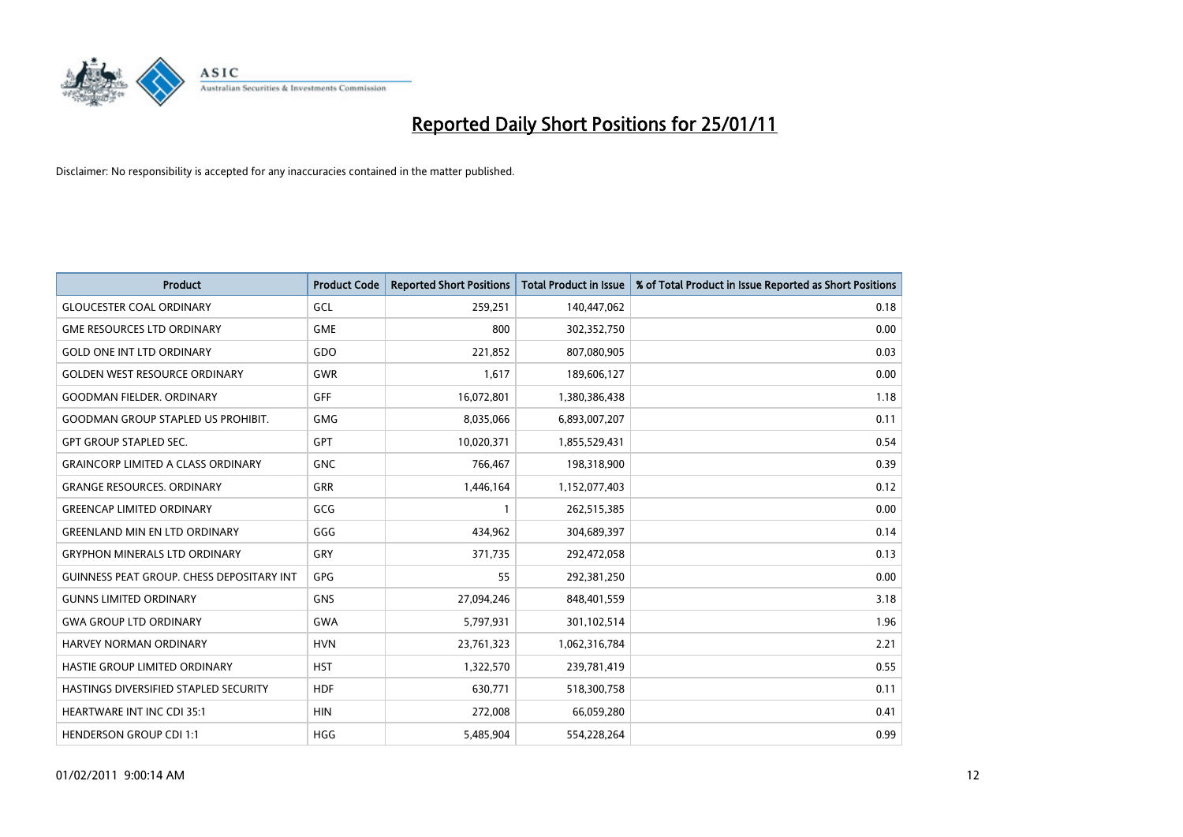

| <b>Product</b>                                   | <b>Product Code</b> | <b>Reported Short Positions</b> | Total Product in Issue | % of Total Product in Issue Reported as Short Positions |
|--------------------------------------------------|---------------------|---------------------------------|------------------------|---------------------------------------------------------|
| <b>GLOUCESTER COAL ORDINARY</b>                  | GCL                 | 259,251                         | 140,447,062            | 0.18                                                    |
| <b>GME RESOURCES LTD ORDINARY</b>                | <b>GME</b>          | 800                             | 302,352,750            | 0.00                                                    |
| <b>GOLD ONE INT LTD ORDINARY</b>                 | GDO                 | 221,852                         | 807,080,905            | 0.03                                                    |
| <b>GOLDEN WEST RESOURCE ORDINARY</b>             | <b>GWR</b>          | 1,617                           | 189,606,127            | 0.00                                                    |
| <b>GOODMAN FIELDER, ORDINARY</b>                 | GFF                 | 16,072,801                      | 1,380,386,438          | 1.18                                                    |
| <b>GOODMAN GROUP STAPLED US PROHIBIT.</b>        | <b>GMG</b>          | 8,035,066                       | 6,893,007,207          | 0.11                                                    |
| <b>GPT GROUP STAPLED SEC.</b>                    | <b>GPT</b>          | 10,020,371                      | 1,855,529,431          | 0.54                                                    |
| <b>GRAINCORP LIMITED A CLASS ORDINARY</b>        | <b>GNC</b>          | 766,467                         | 198,318,900            | 0.39                                                    |
| <b>GRANGE RESOURCES. ORDINARY</b>                | <b>GRR</b>          | 1,446,164                       | 1,152,077,403          | 0.12                                                    |
| <b>GREENCAP LIMITED ORDINARY</b>                 | GCG                 |                                 | 262,515,385            | 0.00                                                    |
| <b>GREENLAND MIN EN LTD ORDINARY</b>             | GGG                 | 434,962                         | 304,689,397            | 0.14                                                    |
| <b>GRYPHON MINERALS LTD ORDINARY</b>             | GRY                 | 371,735                         | 292,472,058            | 0.13                                                    |
| <b>GUINNESS PEAT GROUP. CHESS DEPOSITARY INT</b> | <b>GPG</b>          | 55                              | 292,381,250            | 0.00                                                    |
| <b>GUNNS LIMITED ORDINARY</b>                    | <b>GNS</b>          | 27,094,246                      | 848,401,559            | 3.18                                                    |
| <b>GWA GROUP LTD ORDINARY</b>                    | <b>GWA</b>          | 5,797,931                       | 301,102,514            | 1.96                                                    |
| <b>HARVEY NORMAN ORDINARY</b>                    | <b>HVN</b>          | 23,761,323                      | 1,062,316,784          | 2.21                                                    |
| HASTIE GROUP LIMITED ORDINARY                    | <b>HST</b>          | 1,322,570                       | 239,781,419            | 0.55                                                    |
| HASTINGS DIVERSIFIED STAPLED SECURITY            | <b>HDF</b>          | 630,771                         | 518,300,758            | 0.11                                                    |
| <b>HEARTWARE INT INC CDI 35:1</b>                | <b>HIN</b>          | 272,008                         | 66,059,280             | 0.41                                                    |
| <b>HENDERSON GROUP CDI 1:1</b>                   | <b>HGG</b>          | 5,485,904                       | 554,228,264            | 0.99                                                    |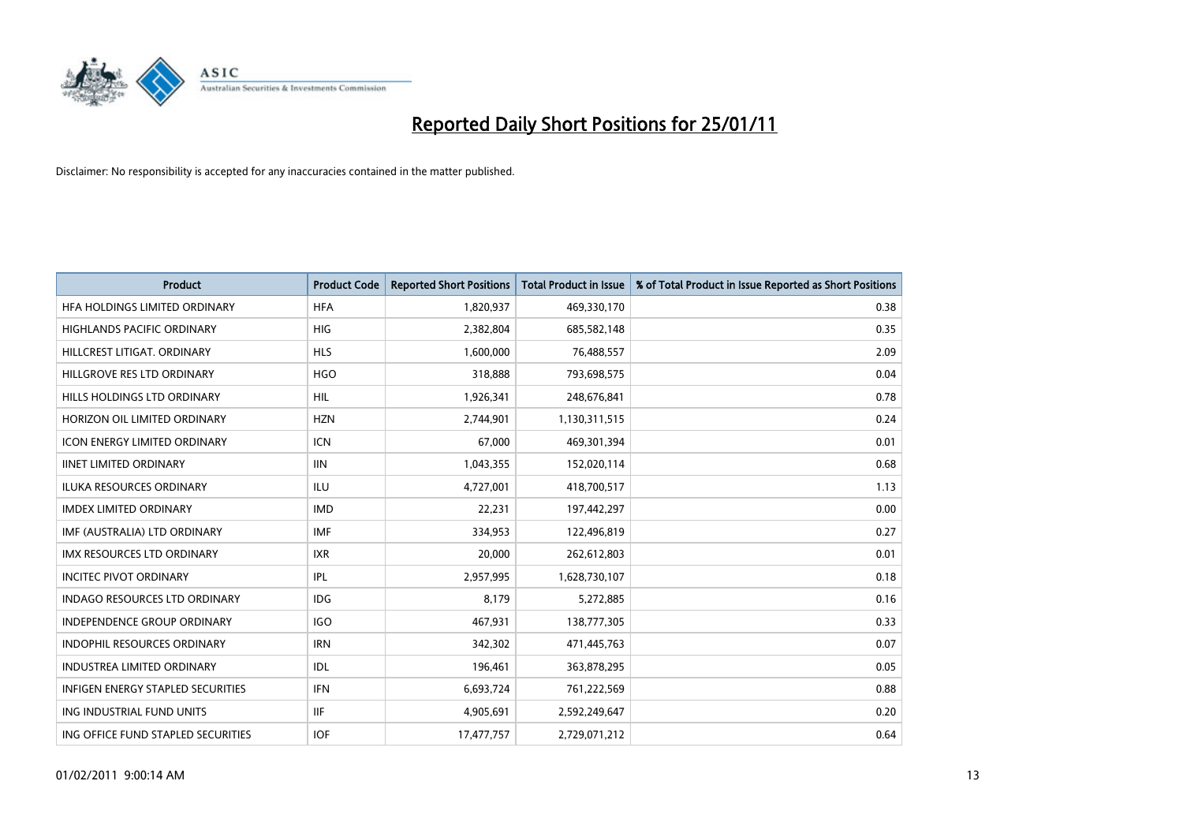

| <b>Product</b>                       | <b>Product Code</b> | <b>Reported Short Positions</b> | <b>Total Product in Issue</b> | % of Total Product in Issue Reported as Short Positions |
|--------------------------------------|---------------------|---------------------------------|-------------------------------|---------------------------------------------------------|
| HFA HOLDINGS LIMITED ORDINARY        | <b>HFA</b>          | 1,820,937                       | 469,330,170                   | 0.38                                                    |
| <b>HIGHLANDS PACIFIC ORDINARY</b>    | <b>HIG</b>          | 2,382,804                       | 685,582,148                   | 0.35                                                    |
| HILLCREST LITIGAT, ORDINARY          | <b>HLS</b>          | 1,600,000                       | 76,488,557                    | 2.09                                                    |
| HILLGROVE RES LTD ORDINARY           | <b>HGO</b>          | 318,888                         | 793,698,575                   | 0.04                                                    |
| HILLS HOLDINGS LTD ORDINARY          | <b>HIL</b>          | 1,926,341                       | 248,676,841                   | 0.78                                                    |
| HORIZON OIL LIMITED ORDINARY         | <b>HZN</b>          | 2,744,901                       | 1,130,311,515                 | 0.24                                                    |
| <b>ICON ENERGY LIMITED ORDINARY</b>  | <b>ICN</b>          | 67.000                          | 469,301,394                   | 0.01                                                    |
| <b>IINET LIMITED ORDINARY</b>        | <b>IIN</b>          | 1,043,355                       | 152,020,114                   | 0.68                                                    |
| ILUKA RESOURCES ORDINARY             | ILU                 | 4,727,001                       | 418,700,517                   | 1.13                                                    |
| <b>IMDEX LIMITED ORDINARY</b>        | <b>IMD</b>          | 22,231                          | 197,442,297                   | 0.00                                                    |
| IMF (AUSTRALIA) LTD ORDINARY         | <b>IMF</b>          | 334,953                         | 122,496,819                   | 0.27                                                    |
| <b>IMX RESOURCES LTD ORDINARY</b>    | <b>IXR</b>          | 20,000                          | 262,612,803                   | 0.01                                                    |
| <b>INCITEC PIVOT ORDINARY</b>        | IPL                 | 2,957,995                       | 1,628,730,107                 | 0.18                                                    |
| <b>INDAGO RESOURCES LTD ORDINARY</b> | <b>IDG</b>          | 8.179                           | 5,272,885                     | 0.16                                                    |
| <b>INDEPENDENCE GROUP ORDINARY</b>   | <b>IGO</b>          | 467,931                         | 138,777,305                   | 0.33                                                    |
| <b>INDOPHIL RESOURCES ORDINARY</b>   | <b>IRN</b>          | 342,302                         | 471,445,763                   | 0.07                                                    |
| <b>INDUSTREA LIMITED ORDINARY</b>    | IDL                 | 196,461                         | 363,878,295                   | 0.05                                                    |
| INFIGEN ENERGY STAPLED SECURITIES    | <b>IFN</b>          | 6,693,724                       | 761,222,569                   | 0.88                                                    |
| ING INDUSTRIAL FUND UNITS            | <b>IIF</b>          | 4,905,691                       | 2,592,249,647                 | 0.20                                                    |
| ING OFFICE FUND STAPLED SECURITIES   | <b>IOF</b>          | 17,477,757                      | 2,729,071,212                 | 0.64                                                    |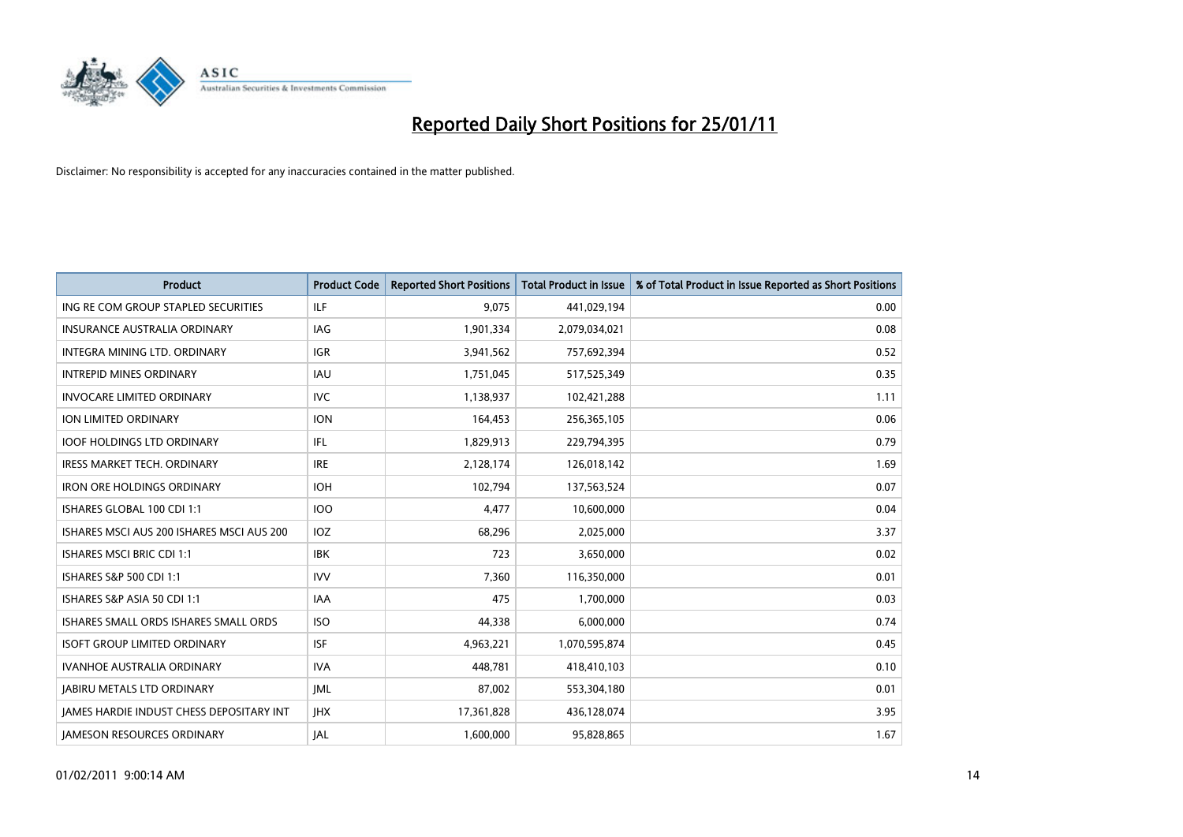

| Product                                         | <b>Product Code</b> | <b>Reported Short Positions</b> | <b>Total Product in Issue</b> | % of Total Product in Issue Reported as Short Positions |
|-------------------------------------------------|---------------------|---------------------------------|-------------------------------|---------------------------------------------------------|
| ING RE COM GROUP STAPLED SECURITIES             | <b>ILF</b>          | 9,075                           | 441,029,194                   | 0.00                                                    |
| INSURANCE AUSTRALIA ORDINARY                    | IAG                 | 1,901,334                       | 2,079,034,021                 | 0.08                                                    |
| INTEGRA MINING LTD. ORDINARY                    | <b>IGR</b>          | 3,941,562                       | 757,692,394                   | 0.52                                                    |
| <b>INTREPID MINES ORDINARY</b>                  | <b>IAU</b>          | 1,751,045                       | 517,525,349                   | 0.35                                                    |
| <b>INVOCARE LIMITED ORDINARY</b>                | <b>IVC</b>          | 1,138,937                       | 102,421,288                   | 1.11                                                    |
| ION LIMITED ORDINARY                            | <b>ION</b>          | 164,453                         | 256,365,105                   | 0.06                                                    |
| <b>IOOF HOLDINGS LTD ORDINARY</b>               | <b>IFL</b>          | 1,829,913                       | 229,794,395                   | 0.79                                                    |
| <b>IRESS MARKET TECH. ORDINARY</b>              | <b>IRE</b>          | 2,128,174                       | 126,018,142                   | 1.69                                                    |
| <b>IRON ORE HOLDINGS ORDINARY</b>               | <b>IOH</b>          | 102,794                         | 137,563,524                   | 0.07                                                    |
| ISHARES GLOBAL 100 CDI 1:1                      | <b>IOO</b>          | 4,477                           | 10,600,000                    | 0.04                                                    |
| ISHARES MSCI AUS 200 ISHARES MSCI AUS 200       | <b>IOZ</b>          | 68,296                          | 2,025,000                     | 3.37                                                    |
| <b>ISHARES MSCI BRIC CDI 1:1</b>                | <b>IBK</b>          | 723                             | 3,650,000                     | 0.02                                                    |
| <b>ISHARES S&amp;P 500 CDI 1:1</b>              | <b>IVV</b>          | 7,360                           | 116,350,000                   | 0.01                                                    |
| ISHARES S&P ASIA 50 CDI 1:1                     | <b>IAA</b>          | 475                             | 1,700,000                     | 0.03                                                    |
| ISHARES SMALL ORDS ISHARES SMALL ORDS           | <b>ISO</b>          | 44,338                          | 6,000,000                     | 0.74                                                    |
| <b>ISOFT GROUP LIMITED ORDINARY</b>             | <b>ISF</b>          | 4,963,221                       | 1,070,595,874                 | 0.45                                                    |
| <b>IVANHOE AUSTRALIA ORDINARY</b>               | <b>IVA</b>          | 448,781                         | 418,410,103                   | 0.10                                                    |
| <b>JABIRU METALS LTD ORDINARY</b>               | <b>JML</b>          | 87,002                          | 553,304,180                   | 0.01                                                    |
| <b>IAMES HARDIE INDUST CHESS DEPOSITARY INT</b> | <b>JHX</b>          | 17,361,828                      | 436,128,074                   | 3.95                                                    |
| <b>IAMESON RESOURCES ORDINARY</b>               | <b>JAL</b>          | 1,600,000                       | 95,828,865                    | 1.67                                                    |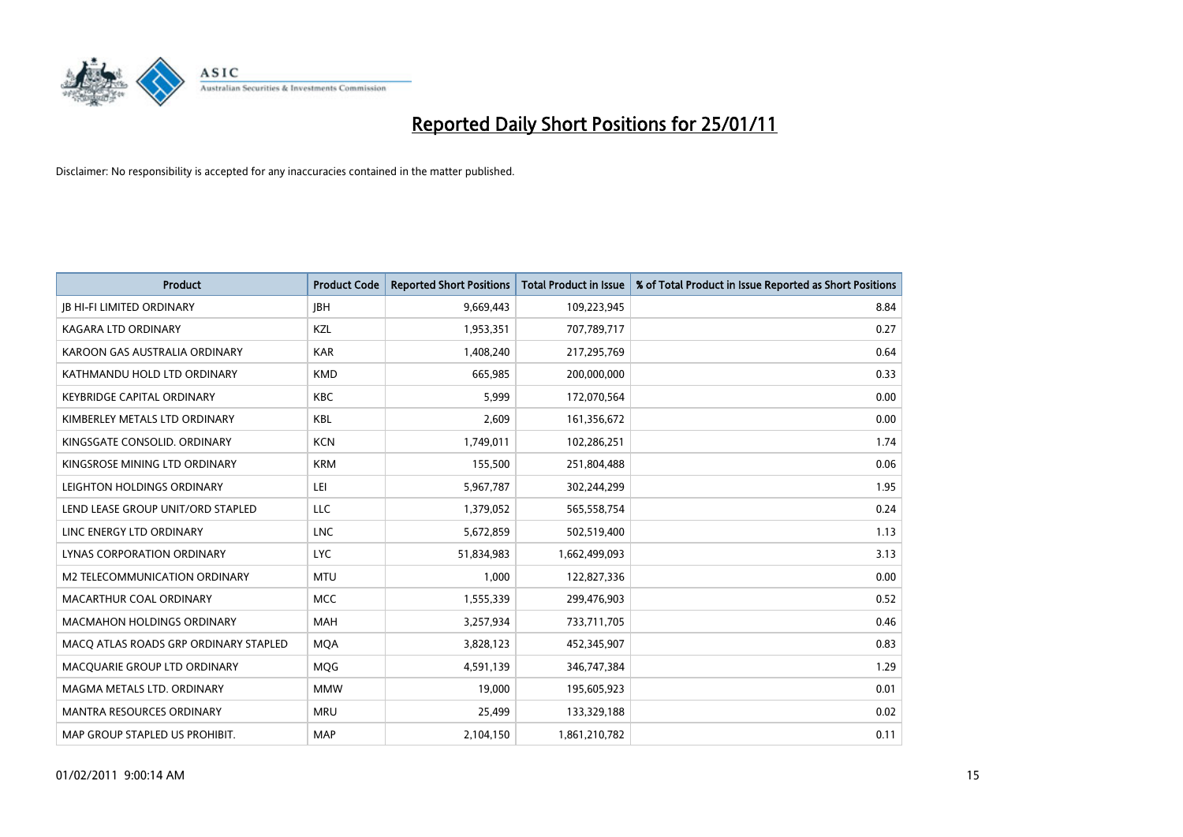

| Product                               | <b>Product Code</b> | <b>Reported Short Positions</b> | Total Product in Issue | % of Total Product in Issue Reported as Short Positions |
|---------------------------------------|---------------------|---------------------------------|------------------------|---------------------------------------------------------|
| <b>JB HI-FI LIMITED ORDINARY</b>      | <b>IBH</b>          | 9,669,443                       | 109,223,945            | 8.84                                                    |
| KAGARA LTD ORDINARY                   | KZL                 | 1,953,351                       | 707,789,717            | 0.27                                                    |
| KAROON GAS AUSTRALIA ORDINARY         | <b>KAR</b>          | 1,408,240                       | 217,295,769            | 0.64                                                    |
| KATHMANDU HOLD LTD ORDINARY           | <b>KMD</b>          | 665,985                         | 200,000,000            | 0.33                                                    |
| <b>KEYBRIDGE CAPITAL ORDINARY</b>     | <b>KBC</b>          | 5,999                           | 172,070,564            | 0.00                                                    |
| KIMBERLEY METALS LTD ORDINARY         | KBL                 | 2,609                           | 161,356,672            | 0.00                                                    |
| KINGSGATE CONSOLID. ORDINARY          | <b>KCN</b>          | 1,749,011                       | 102,286,251            | 1.74                                                    |
| KINGSROSE MINING LTD ORDINARY         | <b>KRM</b>          | 155,500                         | 251,804,488            | 0.06                                                    |
| LEIGHTON HOLDINGS ORDINARY            | LEI                 | 5,967,787                       | 302,244,299            | 1.95                                                    |
| LEND LEASE GROUP UNIT/ORD STAPLED     | <b>LLC</b>          | 1,379,052                       | 565,558,754            | 0.24                                                    |
| LINC ENERGY LTD ORDINARY              | <b>LNC</b>          | 5,672,859                       | 502,519,400            | 1.13                                                    |
| LYNAS CORPORATION ORDINARY            | <b>LYC</b>          | 51,834,983                      | 1,662,499,093          | 3.13                                                    |
| M2 TELECOMMUNICATION ORDINARY         | <b>MTU</b>          | 1,000                           | 122,827,336            | 0.00                                                    |
| <b>MACARTHUR COAL ORDINARY</b>        | <b>MCC</b>          | 1,555,339                       | 299,476,903            | 0.52                                                    |
| <b>MACMAHON HOLDINGS ORDINARY</b>     | <b>MAH</b>          | 3,257,934                       | 733,711,705            | 0.46                                                    |
| MACO ATLAS ROADS GRP ORDINARY STAPLED | <b>MOA</b>          | 3,828,123                       | 452,345,907            | 0.83                                                    |
| MACQUARIE GROUP LTD ORDINARY          | MQG                 | 4,591,139                       | 346,747,384            | 1.29                                                    |
| MAGMA METALS LTD. ORDINARY            | <b>MMW</b>          | 19,000                          | 195,605,923            | 0.01                                                    |
| MANTRA RESOURCES ORDINARY             | <b>MRU</b>          | 25,499                          | 133,329,188            | 0.02                                                    |
| MAP GROUP STAPLED US PROHIBIT.        | <b>MAP</b>          | 2,104,150                       | 1,861,210,782          | 0.11                                                    |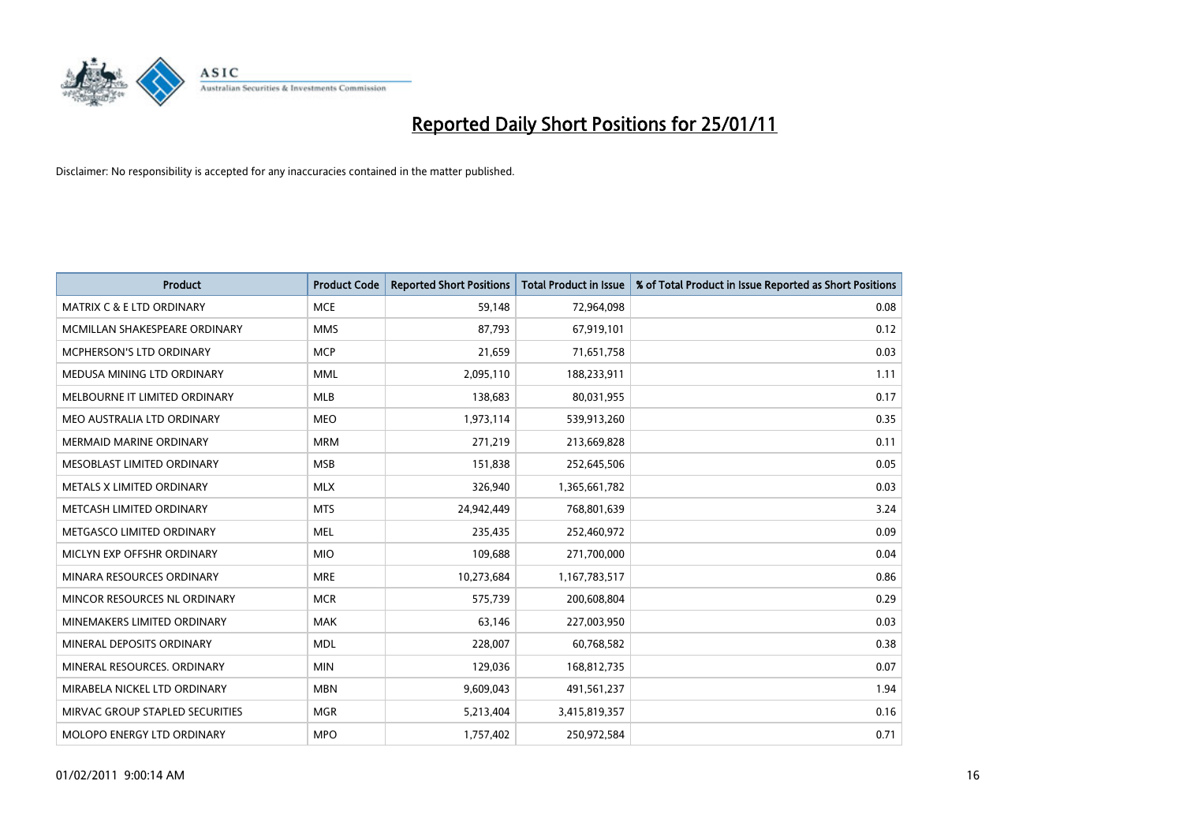

| Product                              | <b>Product Code</b> | <b>Reported Short Positions</b> | Total Product in Issue | % of Total Product in Issue Reported as Short Positions |
|--------------------------------------|---------------------|---------------------------------|------------------------|---------------------------------------------------------|
| <b>MATRIX C &amp; E LTD ORDINARY</b> | <b>MCE</b>          | 59,148                          | 72,964,098             | 0.08                                                    |
| MCMILLAN SHAKESPEARE ORDINARY        | <b>MMS</b>          | 87,793                          | 67,919,101             | 0.12                                                    |
| <b>MCPHERSON'S LTD ORDINARY</b>      | <b>MCP</b>          | 21,659                          | 71,651,758             | 0.03                                                    |
| MEDUSA MINING LTD ORDINARY           | <b>MML</b>          | 2,095,110                       | 188,233,911            | 1.11                                                    |
| MELBOURNE IT LIMITED ORDINARY        | <b>MLB</b>          | 138,683                         | 80,031,955             | 0.17                                                    |
| MEO AUSTRALIA LTD ORDINARY           | <b>MEO</b>          | 1,973,114                       | 539,913,260            | 0.35                                                    |
| <b>MERMAID MARINE ORDINARY</b>       | <b>MRM</b>          | 271,219                         | 213,669,828            | 0.11                                                    |
| MESOBLAST LIMITED ORDINARY           | <b>MSB</b>          | 151,838                         | 252,645,506            | 0.05                                                    |
| METALS X LIMITED ORDINARY            | <b>MLX</b>          | 326,940                         | 1,365,661,782          | 0.03                                                    |
| METCASH LIMITED ORDINARY             | <b>MTS</b>          | 24,942,449                      | 768,801,639            | 3.24                                                    |
| METGASCO LIMITED ORDINARY            | <b>MEL</b>          | 235,435                         | 252,460,972            | 0.09                                                    |
| MICLYN EXP OFFSHR ORDINARY           | <b>MIO</b>          | 109,688                         | 271,700,000            | 0.04                                                    |
| MINARA RESOURCES ORDINARY            | <b>MRE</b>          | 10,273,684                      | 1,167,783,517          | 0.86                                                    |
| MINCOR RESOURCES NL ORDINARY         | <b>MCR</b>          | 575.739                         | 200,608,804            | 0.29                                                    |
| MINEMAKERS LIMITED ORDINARY          | <b>MAK</b>          | 63,146                          | 227,003,950            | 0.03                                                    |
| MINERAL DEPOSITS ORDINARY            | <b>MDL</b>          | 228,007                         | 60,768,582             | 0.38                                                    |
| MINERAL RESOURCES, ORDINARY          | <b>MIN</b>          | 129,036                         | 168,812,735            | 0.07                                                    |
| MIRABELA NICKEL LTD ORDINARY         | <b>MBN</b>          | 9,609,043                       | 491,561,237            | 1.94                                                    |
| MIRVAC GROUP STAPLED SECURITIES      | <b>MGR</b>          | 5,213,404                       | 3,415,819,357          | 0.16                                                    |
| MOLOPO ENERGY LTD ORDINARY           | <b>MPO</b>          | 1,757,402                       | 250,972,584            | 0.71                                                    |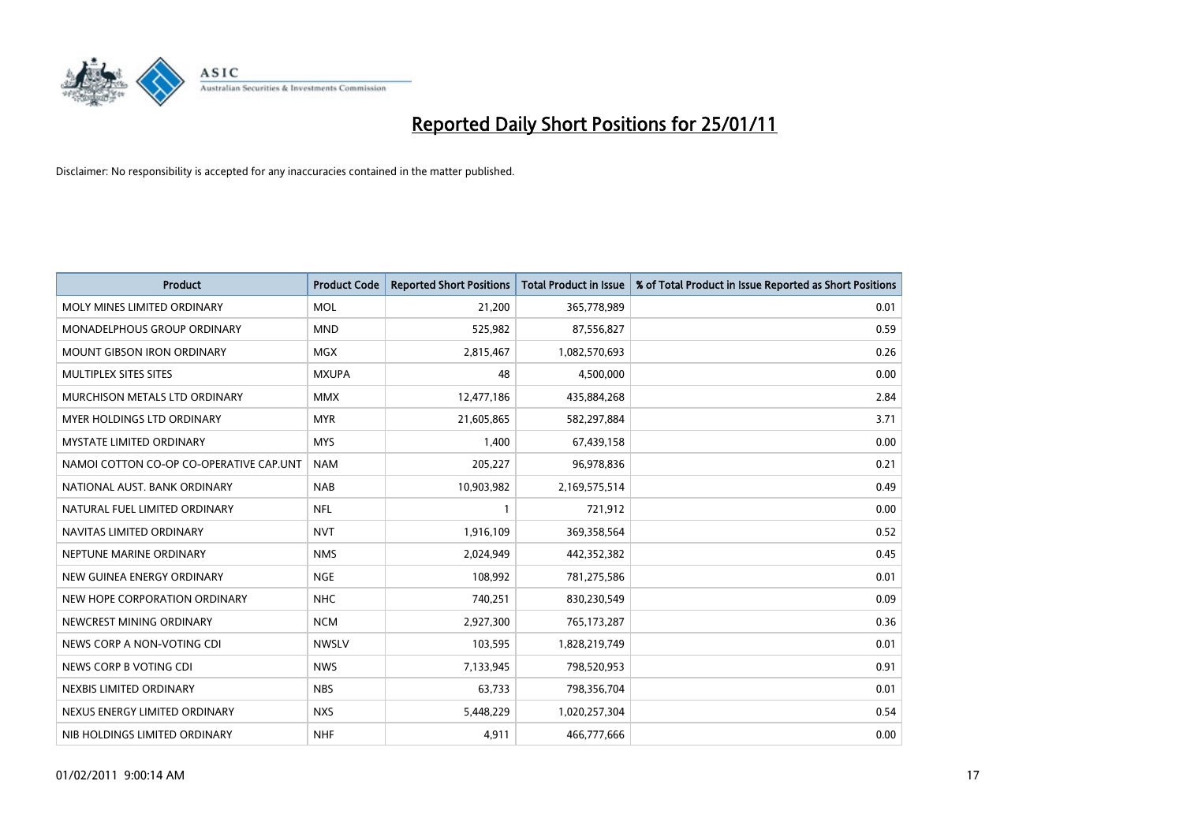

| Product                                 | <b>Product Code</b> | <b>Reported Short Positions</b> | <b>Total Product in Issue</b> | % of Total Product in Issue Reported as Short Positions |
|-----------------------------------------|---------------------|---------------------------------|-------------------------------|---------------------------------------------------------|
| MOLY MINES LIMITED ORDINARY             | <b>MOL</b>          | 21,200                          | 365,778,989                   | 0.01                                                    |
| MONADELPHOUS GROUP ORDINARY             | <b>MND</b>          | 525,982                         | 87,556,827                    | 0.59                                                    |
| <b>MOUNT GIBSON IRON ORDINARY</b>       | <b>MGX</b>          | 2,815,467                       | 1,082,570,693                 | 0.26                                                    |
| MULTIPLEX SITES SITES                   | <b>MXUPA</b>        | 48                              | 4,500,000                     | 0.00                                                    |
| MURCHISON METALS LTD ORDINARY           | <b>MMX</b>          | 12,477,186                      | 435,884,268                   | 2.84                                                    |
| <b>MYER HOLDINGS LTD ORDINARY</b>       | <b>MYR</b>          | 21,605,865                      | 582,297,884                   | 3.71                                                    |
| <b>MYSTATE LIMITED ORDINARY</b>         | <b>MYS</b>          | 1,400                           | 67,439,158                    | 0.00                                                    |
| NAMOI COTTON CO-OP CO-OPERATIVE CAP.UNT | <b>NAM</b>          | 205,227                         | 96,978,836                    | 0.21                                                    |
| NATIONAL AUST, BANK ORDINARY            | <b>NAB</b>          | 10,903,982                      | 2,169,575,514                 | 0.49                                                    |
| NATURAL FUEL LIMITED ORDINARY           | <b>NFL</b>          |                                 | 721,912                       | 0.00                                                    |
| NAVITAS LIMITED ORDINARY                | <b>NVT</b>          | 1,916,109                       | 369,358,564                   | 0.52                                                    |
| NEPTUNE MARINE ORDINARY                 | <b>NMS</b>          | 2,024,949                       | 442,352,382                   | 0.45                                                    |
| NEW GUINEA ENERGY ORDINARY              | <b>NGE</b>          | 108,992                         | 781,275,586                   | 0.01                                                    |
| NEW HOPE CORPORATION ORDINARY           | <b>NHC</b>          | 740,251                         | 830,230,549                   | 0.09                                                    |
| NEWCREST MINING ORDINARY                | <b>NCM</b>          | 2,927,300                       | 765,173,287                   | 0.36                                                    |
| NEWS CORP A NON-VOTING CDI              | <b>NWSLV</b>        | 103,595                         | 1,828,219,749                 | 0.01                                                    |
| NEWS CORP B VOTING CDI                  | <b>NWS</b>          | 7,133,945                       | 798,520,953                   | 0.91                                                    |
| NEXBIS LIMITED ORDINARY                 | <b>NBS</b>          | 63,733                          | 798,356,704                   | 0.01                                                    |
| NEXUS ENERGY LIMITED ORDINARY           | <b>NXS</b>          | 5,448,229                       | 1,020,257,304                 | 0.54                                                    |
| NIB HOLDINGS LIMITED ORDINARY           | <b>NHF</b>          | 4,911                           | 466,777,666                   | 0.00                                                    |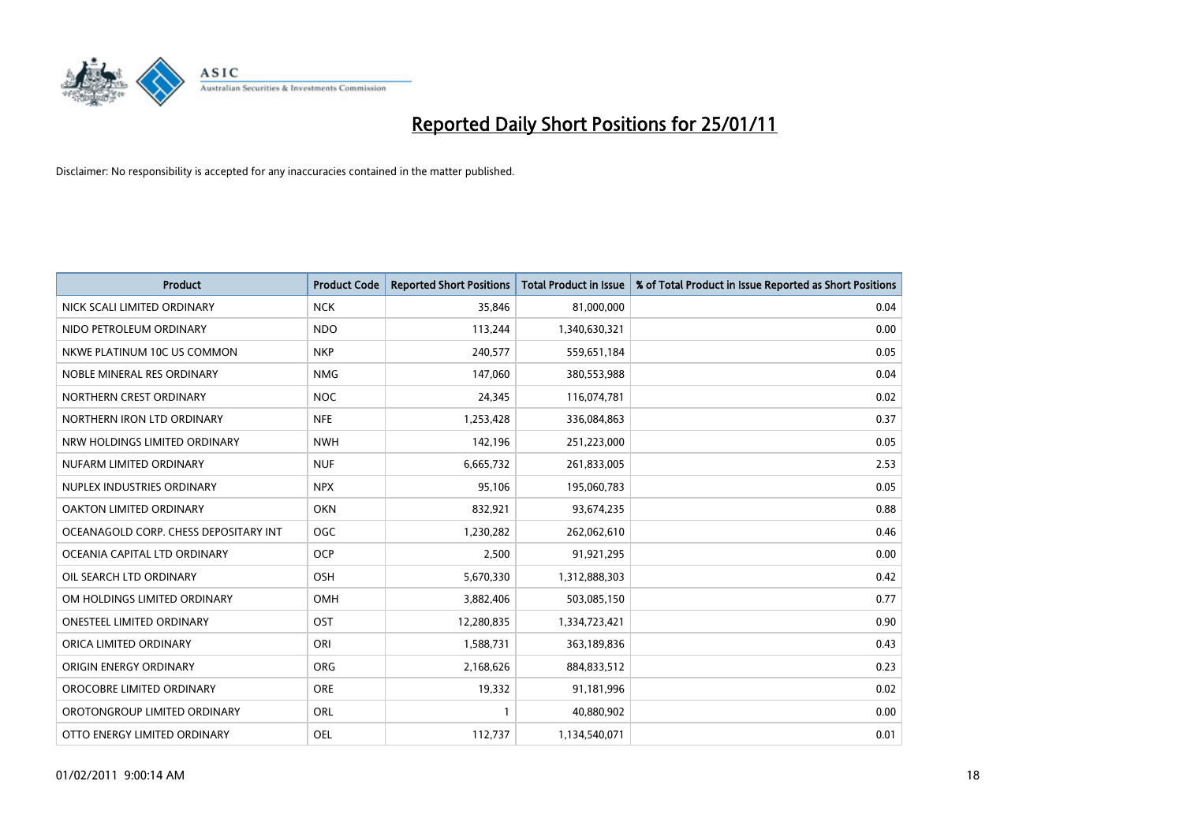

| <b>Product</b>                        | <b>Product Code</b> | <b>Reported Short Positions</b> | Total Product in Issue | % of Total Product in Issue Reported as Short Positions |
|---------------------------------------|---------------------|---------------------------------|------------------------|---------------------------------------------------------|
| NICK SCALI LIMITED ORDINARY           | <b>NCK</b>          | 35,846                          | 81,000,000             | 0.04                                                    |
| NIDO PETROLEUM ORDINARY               | <b>NDO</b>          | 113,244                         | 1,340,630,321          | 0.00                                                    |
| NKWE PLATINUM 10C US COMMON           | <b>NKP</b>          | 240,577                         | 559,651,184            | 0.05                                                    |
| NOBLE MINERAL RES ORDINARY            | <b>NMG</b>          | 147,060                         | 380,553,988            | 0.04                                                    |
| NORTHERN CREST ORDINARY               | <b>NOC</b>          | 24,345                          | 116,074,781            | 0.02                                                    |
| NORTHERN IRON LTD ORDINARY            | <b>NFE</b>          | 1,253,428                       | 336,084,863            | 0.37                                                    |
| NRW HOLDINGS LIMITED ORDINARY         | <b>NWH</b>          | 142,196                         | 251,223,000            | 0.05                                                    |
| NUFARM LIMITED ORDINARY               | <b>NUF</b>          | 6,665,732                       | 261,833,005            | 2.53                                                    |
| NUPLEX INDUSTRIES ORDINARY            | <b>NPX</b>          | 95,106                          | 195,060,783            | 0.05                                                    |
| OAKTON LIMITED ORDINARY               | OKN                 | 832,921                         | 93,674,235             | 0.88                                                    |
| OCEANAGOLD CORP. CHESS DEPOSITARY INT | <b>OGC</b>          | 1,230,282                       | 262,062,610            | 0.46                                                    |
| OCEANIA CAPITAL LTD ORDINARY          | <b>OCP</b>          | 2,500                           | 91,921,295             | 0.00                                                    |
| OIL SEARCH LTD ORDINARY               | OSH                 | 5,670,330                       | 1,312,888,303          | 0.42                                                    |
| OM HOLDINGS LIMITED ORDINARY          | OMH                 | 3,882,406                       | 503,085,150            | 0.77                                                    |
| <b>ONESTEEL LIMITED ORDINARY</b>      | OST                 | 12,280,835                      | 1,334,723,421          | 0.90                                                    |
| ORICA LIMITED ORDINARY                | ORI                 | 1,588,731                       | 363,189,836            | 0.43                                                    |
| ORIGIN ENERGY ORDINARY                | <b>ORG</b>          | 2,168,626                       | 884,833,512            | 0.23                                                    |
| OROCOBRE LIMITED ORDINARY             | <b>ORE</b>          | 19,332                          | 91,181,996             | 0.02                                                    |
| OROTONGROUP LIMITED ORDINARY          | ORL                 |                                 | 40,880,902             | 0.00                                                    |
| OTTO ENERGY LIMITED ORDINARY          | OEL                 | 112,737                         | 1,134,540,071          | 0.01                                                    |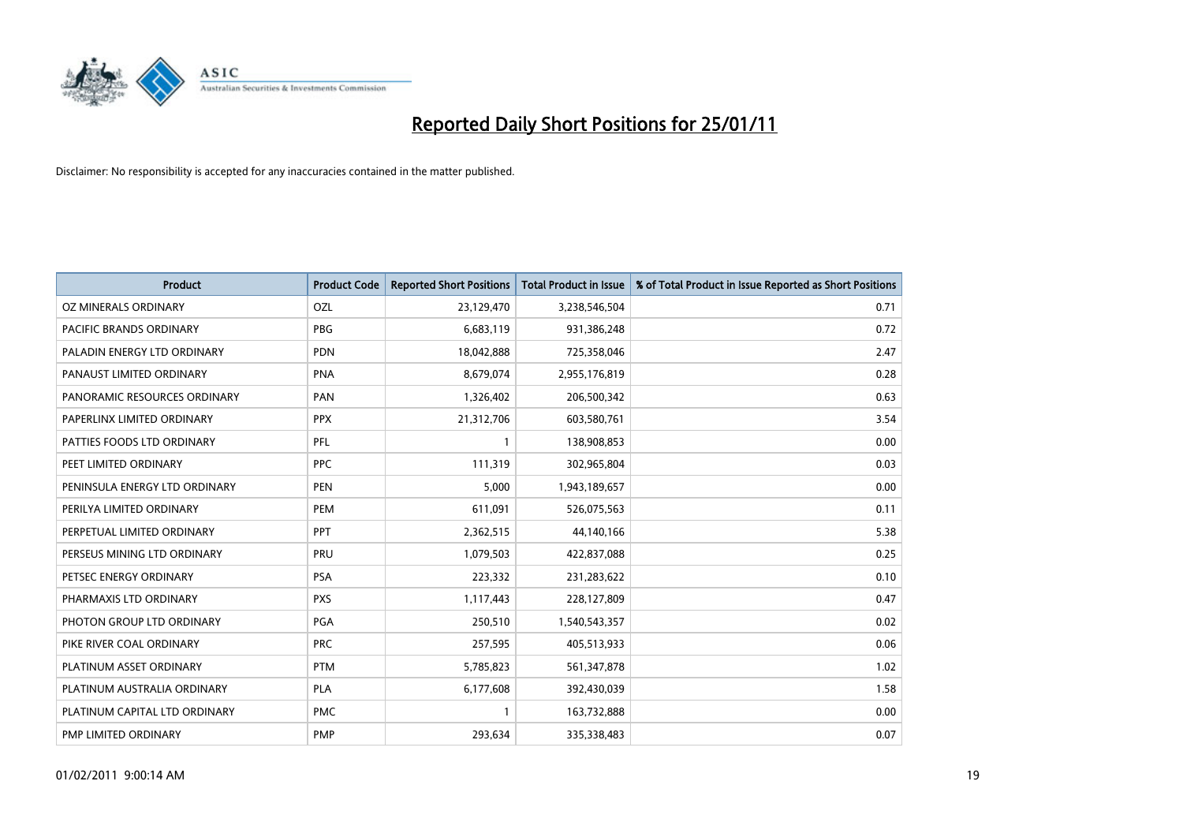

| <b>Product</b>                | <b>Product Code</b> | <b>Reported Short Positions</b> | <b>Total Product in Issue</b> | % of Total Product in Issue Reported as Short Positions |
|-------------------------------|---------------------|---------------------------------|-------------------------------|---------------------------------------------------------|
| OZ MINERALS ORDINARY          | <b>OZL</b>          | 23,129,470                      | 3,238,546,504                 | 0.71                                                    |
| PACIFIC BRANDS ORDINARY       | <b>PBG</b>          | 6,683,119                       | 931,386,248                   | 0.72                                                    |
| PALADIN ENERGY LTD ORDINARY   | <b>PDN</b>          | 18,042,888                      | 725,358,046                   | 2.47                                                    |
| PANAUST LIMITED ORDINARY      | <b>PNA</b>          | 8,679,074                       | 2,955,176,819                 | 0.28                                                    |
| PANORAMIC RESOURCES ORDINARY  | PAN                 | 1,326,402                       | 206,500,342                   | 0.63                                                    |
| PAPERLINX LIMITED ORDINARY    | <b>PPX</b>          | 21,312,706                      | 603,580,761                   | 3.54                                                    |
| PATTIES FOODS LTD ORDINARY    | PFL                 |                                 | 138,908,853                   | 0.00                                                    |
| PEET LIMITED ORDINARY         | <b>PPC</b>          | 111,319                         | 302,965,804                   | 0.03                                                    |
| PENINSULA ENERGY LTD ORDINARY | <b>PEN</b>          | 5,000                           | 1,943,189,657                 | 0.00                                                    |
| PERILYA LIMITED ORDINARY      | PEM                 | 611,091                         | 526,075,563                   | 0.11                                                    |
| PERPETUAL LIMITED ORDINARY    | PPT                 | 2,362,515                       | 44,140,166                    | 5.38                                                    |
| PERSEUS MINING LTD ORDINARY   | PRU                 | 1,079,503                       | 422,837,088                   | 0.25                                                    |
| PETSEC ENERGY ORDINARY        | PSA                 | 223,332                         | 231,283,622                   | 0.10                                                    |
| PHARMAXIS LTD ORDINARY        | <b>PXS</b>          | 1,117,443                       | 228,127,809                   | 0.47                                                    |
| PHOTON GROUP LTD ORDINARY     | PGA                 | 250,510                         | 1,540,543,357                 | 0.02                                                    |
| PIKE RIVER COAL ORDINARY      | <b>PRC</b>          | 257,595                         | 405,513,933                   | 0.06                                                    |
| PLATINUM ASSET ORDINARY       | <b>PTM</b>          | 5,785,823                       | 561,347,878                   | 1.02                                                    |
| PLATINUM AUSTRALIA ORDINARY   | <b>PLA</b>          | 6,177,608                       | 392,430,039                   | 1.58                                                    |
| PLATINUM CAPITAL LTD ORDINARY | <b>PMC</b>          | 1                               | 163,732,888                   | 0.00                                                    |
| PMP LIMITED ORDINARY          | <b>PMP</b>          | 293,634                         | 335,338,483                   | 0.07                                                    |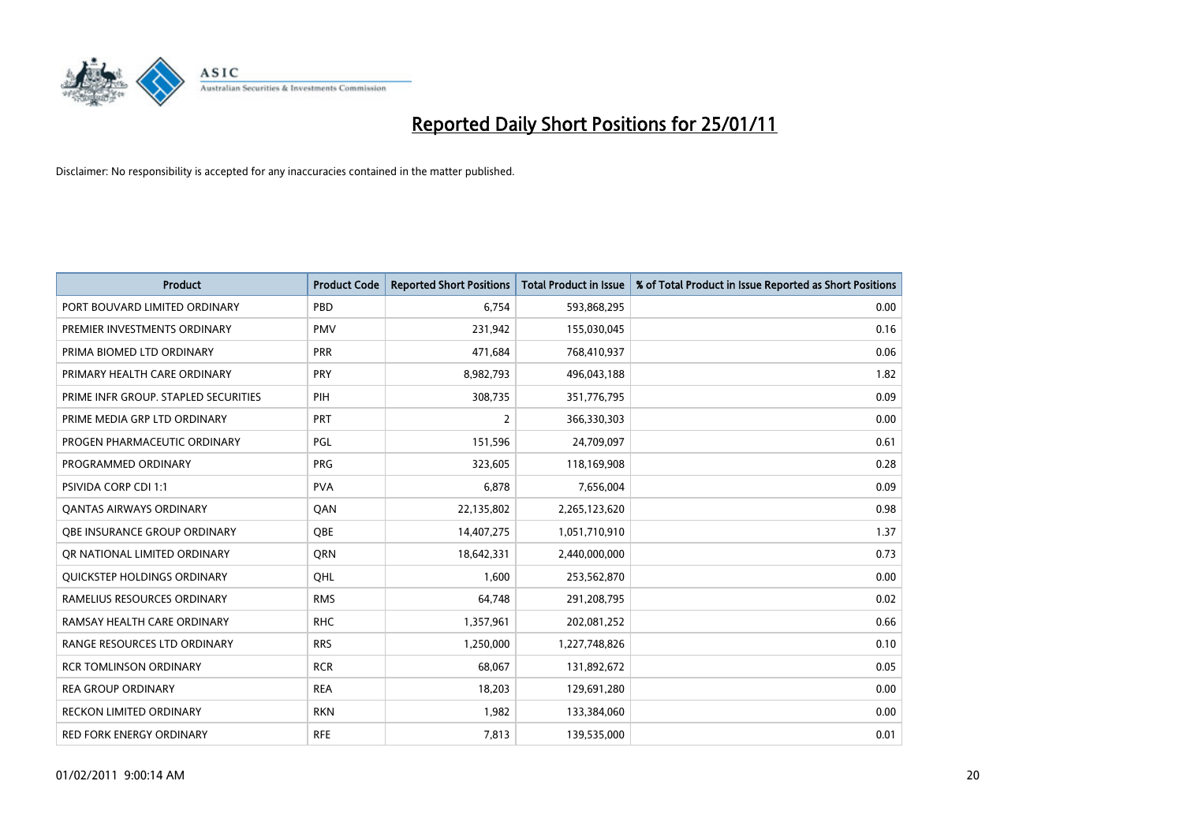

| Product                              | <b>Product Code</b> | <b>Reported Short Positions</b> | <b>Total Product in Issue</b> | % of Total Product in Issue Reported as Short Positions |
|--------------------------------------|---------------------|---------------------------------|-------------------------------|---------------------------------------------------------|
| PORT BOUVARD LIMITED ORDINARY        | PBD                 | 6,754                           | 593,868,295                   | 0.00                                                    |
| PREMIER INVESTMENTS ORDINARY         | <b>PMV</b>          | 231,942                         | 155,030,045                   | 0.16                                                    |
| PRIMA BIOMED LTD ORDINARY            | <b>PRR</b>          | 471,684                         | 768,410,937                   | 0.06                                                    |
| PRIMARY HEALTH CARE ORDINARY         | PRY                 | 8,982,793                       | 496,043,188                   | 1.82                                                    |
| PRIME INFR GROUP. STAPLED SECURITIES | PIH                 | 308,735                         | 351,776,795                   | 0.09                                                    |
| PRIME MEDIA GRP LTD ORDINARY         | PRT                 | 2                               | 366,330,303                   | 0.00                                                    |
| PROGEN PHARMACEUTIC ORDINARY         | PGL                 | 151,596                         | 24,709,097                    | 0.61                                                    |
| PROGRAMMED ORDINARY                  | <b>PRG</b>          | 323,605                         | 118,169,908                   | 0.28                                                    |
| <b>PSIVIDA CORP CDI 1:1</b>          | <b>PVA</b>          | 6,878                           | 7,656,004                     | 0.09                                                    |
| <b>QANTAS AIRWAYS ORDINARY</b>       | QAN                 | 22,135,802                      | 2,265,123,620                 | 0.98                                                    |
| <b>OBE INSURANCE GROUP ORDINARY</b>  | <b>OBE</b>          | 14,407,275                      | 1,051,710,910                 | 1.37                                                    |
| OR NATIONAL LIMITED ORDINARY         | <b>ORN</b>          | 18,642,331                      | 2,440,000,000                 | 0.73                                                    |
| QUICKSTEP HOLDINGS ORDINARY          | OHL                 | 1,600                           | 253,562,870                   | 0.00                                                    |
| RAMELIUS RESOURCES ORDINARY          | <b>RMS</b>          | 64,748                          | 291,208,795                   | 0.02                                                    |
| RAMSAY HEALTH CARE ORDINARY          | <b>RHC</b>          | 1,357,961                       | 202,081,252                   | 0.66                                                    |
| RANGE RESOURCES LTD ORDINARY         | <b>RRS</b>          | 1,250,000                       | 1,227,748,826                 | 0.10                                                    |
| <b>RCR TOMLINSON ORDINARY</b>        | <b>RCR</b>          | 68,067                          | 131,892,672                   | 0.05                                                    |
| <b>REA GROUP ORDINARY</b>            | <b>REA</b>          | 18,203                          | 129,691,280                   | 0.00                                                    |
| <b>RECKON LIMITED ORDINARY</b>       | <b>RKN</b>          | 1,982                           | 133,384,060                   | 0.00                                                    |
| <b>RED FORK ENERGY ORDINARY</b>      | <b>RFE</b>          | 7,813                           | 139,535,000                   | 0.01                                                    |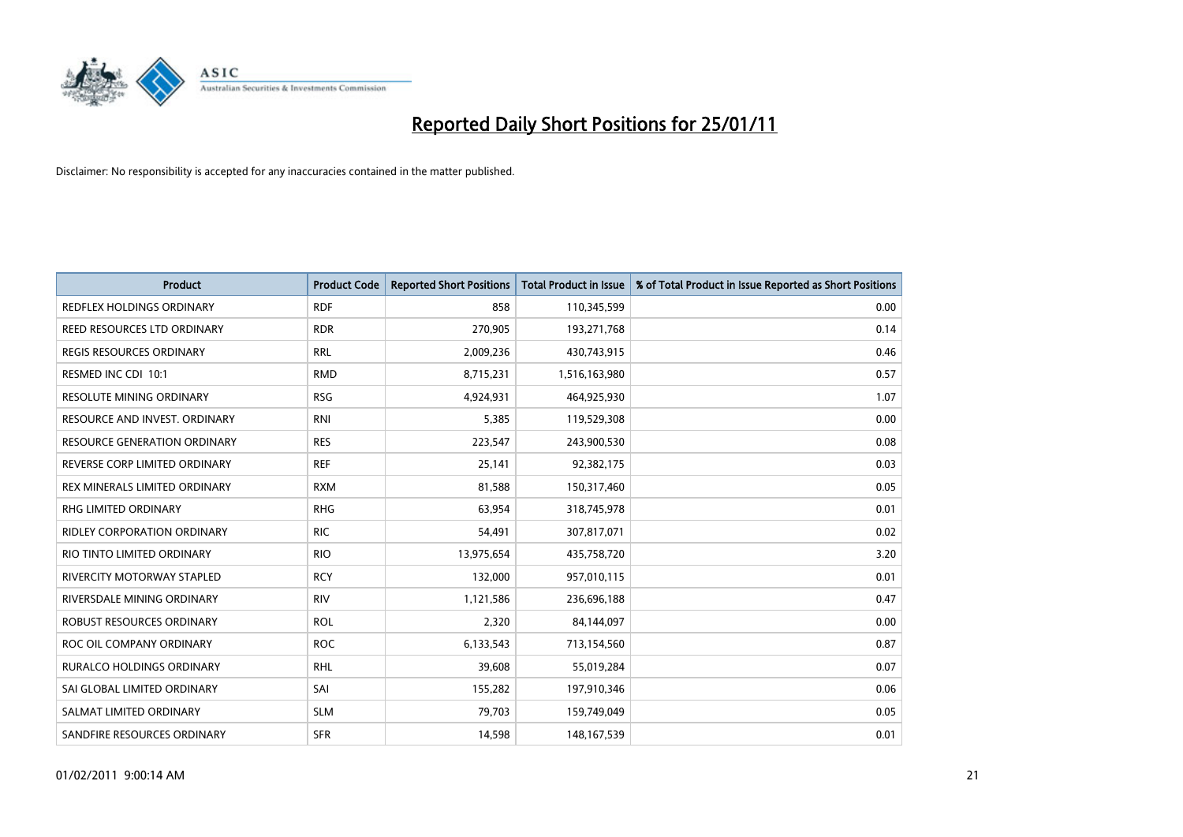

| <b>Product</b>                      | <b>Product Code</b> | <b>Reported Short Positions</b> | <b>Total Product in Issue</b> | % of Total Product in Issue Reported as Short Positions |
|-------------------------------------|---------------------|---------------------------------|-------------------------------|---------------------------------------------------------|
| <b>REDFLEX HOLDINGS ORDINARY</b>    | <b>RDF</b>          | 858                             | 110,345,599                   | 0.00                                                    |
| REED RESOURCES LTD ORDINARY         | <b>RDR</b>          | 270,905                         | 193,271,768                   | 0.14                                                    |
| <b>REGIS RESOURCES ORDINARY</b>     | <b>RRL</b>          | 2,009,236                       | 430,743,915                   | 0.46                                                    |
| RESMED INC CDI 10:1                 | <b>RMD</b>          | 8,715,231                       | 1,516,163,980                 | 0.57                                                    |
| <b>RESOLUTE MINING ORDINARY</b>     | <b>RSG</b>          | 4,924,931                       | 464,925,930                   | 1.07                                                    |
| RESOURCE AND INVEST. ORDINARY       | <b>RNI</b>          | 5,385                           | 119,529,308                   | 0.00                                                    |
| <b>RESOURCE GENERATION ORDINARY</b> | <b>RES</b>          | 223,547                         | 243,900,530                   | 0.08                                                    |
| REVERSE CORP LIMITED ORDINARY       | <b>REF</b>          | 25,141                          | 92,382,175                    | 0.03                                                    |
| REX MINERALS LIMITED ORDINARY       | <b>RXM</b>          | 81,588                          | 150,317,460                   | 0.05                                                    |
| <b>RHG LIMITED ORDINARY</b>         | <b>RHG</b>          | 63,954                          | 318,745,978                   | 0.01                                                    |
| RIDLEY CORPORATION ORDINARY         | <b>RIC</b>          | 54,491                          | 307,817,071                   | 0.02                                                    |
| RIO TINTO LIMITED ORDINARY          | <b>RIO</b>          | 13,975,654                      | 435,758,720                   | 3.20                                                    |
| RIVERCITY MOTORWAY STAPLED          | <b>RCY</b>          | 132,000                         | 957,010,115                   | 0.01                                                    |
| RIVERSDALE MINING ORDINARY          | <b>RIV</b>          | 1,121,586                       | 236,696,188                   | 0.47                                                    |
| ROBUST RESOURCES ORDINARY           | <b>ROL</b>          | 2,320                           | 84,144,097                    | 0.00                                                    |
| ROC OIL COMPANY ORDINARY            | <b>ROC</b>          | 6,133,543                       | 713,154,560                   | 0.87                                                    |
| <b>RURALCO HOLDINGS ORDINARY</b>    | <b>RHL</b>          | 39,608                          | 55,019,284                    | 0.07                                                    |
| SAI GLOBAL LIMITED ORDINARY         | SAI                 | 155,282                         | 197,910,346                   | 0.06                                                    |
| SALMAT LIMITED ORDINARY             | <b>SLM</b>          | 79,703                          | 159,749,049                   | 0.05                                                    |
| SANDFIRE RESOURCES ORDINARY         | <b>SFR</b>          | 14,598                          | 148, 167, 539                 | 0.01                                                    |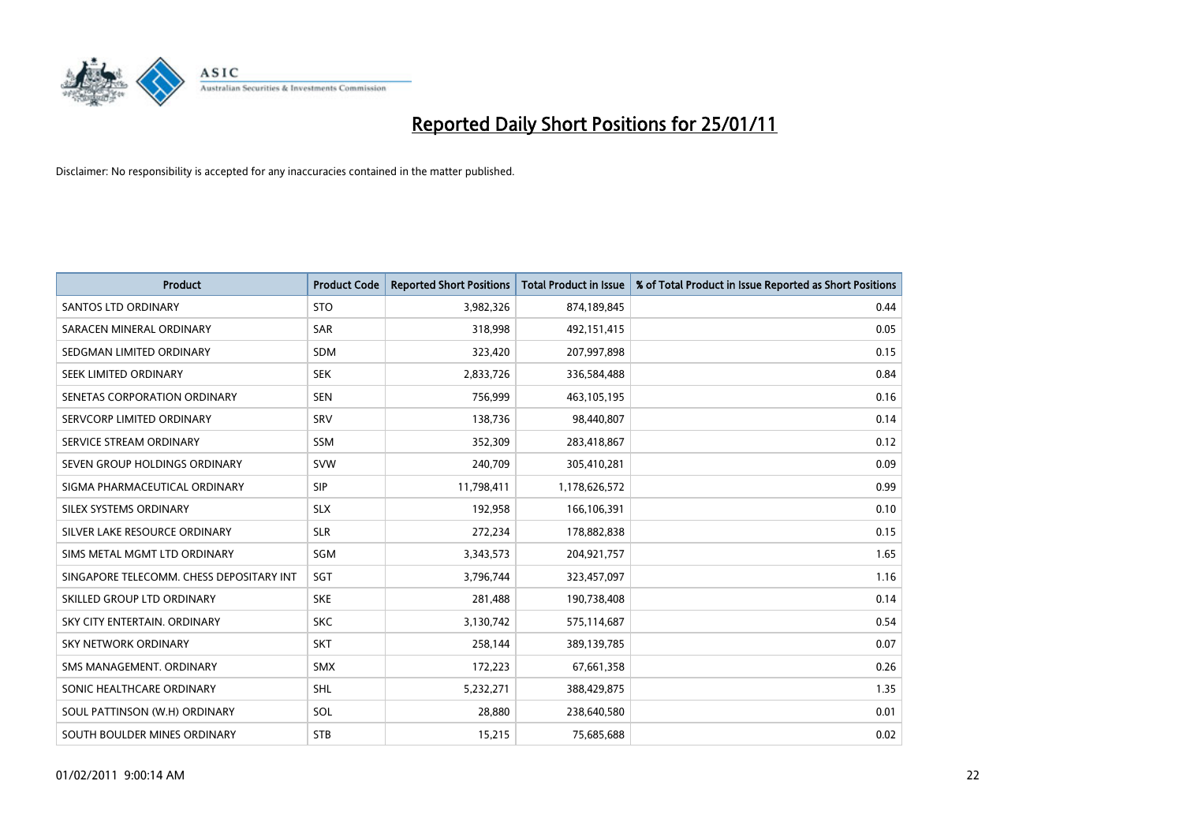

| <b>Product</b>                           | <b>Product Code</b> | <b>Reported Short Positions</b> | Total Product in Issue | % of Total Product in Issue Reported as Short Positions |
|------------------------------------------|---------------------|---------------------------------|------------------------|---------------------------------------------------------|
| <b>SANTOS LTD ORDINARY</b>               | <b>STO</b>          | 3,982,326                       | 874,189,845            | 0.44                                                    |
| SARACEN MINERAL ORDINARY                 | <b>SAR</b>          | 318,998                         | 492,151,415            | 0.05                                                    |
| SEDGMAN LIMITED ORDINARY                 | <b>SDM</b>          | 323,420                         | 207,997,898            | 0.15                                                    |
| SEEK LIMITED ORDINARY                    | <b>SEK</b>          | 2,833,726                       | 336,584,488            | 0.84                                                    |
| SENETAS CORPORATION ORDINARY             | <b>SEN</b>          | 756,999                         | 463,105,195            | 0.16                                                    |
| SERVCORP LIMITED ORDINARY                | SRV                 | 138,736                         | 98,440,807             | 0.14                                                    |
| SERVICE STREAM ORDINARY                  | <b>SSM</b>          | 352,309                         | 283,418,867            | 0.12                                                    |
| SEVEN GROUP HOLDINGS ORDINARY            | <b>SVW</b>          | 240,709                         | 305,410,281            | 0.09                                                    |
| SIGMA PHARMACEUTICAL ORDINARY            | <b>SIP</b>          | 11,798,411                      | 1,178,626,572          | 0.99                                                    |
| SILEX SYSTEMS ORDINARY                   | <b>SLX</b>          | 192,958                         | 166,106,391            | 0.10                                                    |
| SILVER LAKE RESOURCE ORDINARY            | <b>SLR</b>          | 272,234                         | 178,882,838            | 0.15                                                    |
| SIMS METAL MGMT LTD ORDINARY             | SGM                 | 3,343,573                       | 204,921,757            | 1.65                                                    |
| SINGAPORE TELECOMM. CHESS DEPOSITARY INT | SGT                 | 3,796,744                       | 323,457,097            | 1.16                                                    |
| SKILLED GROUP LTD ORDINARY               | <b>SKE</b>          | 281,488                         | 190,738,408            | 0.14                                                    |
| SKY CITY ENTERTAIN, ORDINARY             | <b>SKC</b>          | 3,130,742                       | 575,114,687            | 0.54                                                    |
| <b>SKY NETWORK ORDINARY</b>              | <b>SKT</b>          | 258,144                         | 389,139,785            | 0.07                                                    |
| SMS MANAGEMENT, ORDINARY                 | <b>SMX</b>          | 172,223                         | 67,661,358             | 0.26                                                    |
| SONIC HEALTHCARE ORDINARY                | <b>SHL</b>          | 5,232,271                       | 388,429,875            | 1.35                                                    |
| SOUL PATTINSON (W.H) ORDINARY            | SOL                 | 28,880                          | 238,640,580            | 0.01                                                    |
| SOUTH BOULDER MINES ORDINARY             | <b>STB</b>          | 15,215                          | 75,685,688             | 0.02                                                    |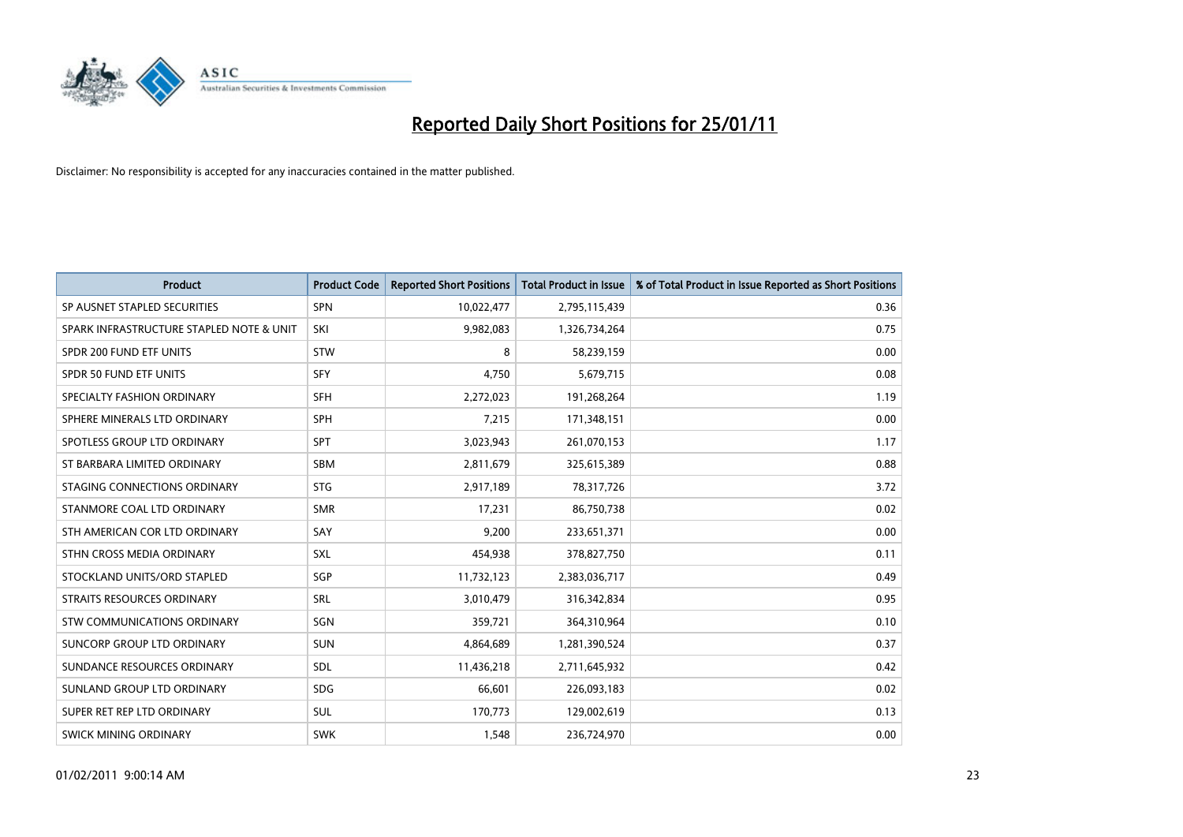

| <b>Product</b>                           | <b>Product Code</b> | <b>Reported Short Positions</b> | Total Product in Issue | % of Total Product in Issue Reported as Short Positions |
|------------------------------------------|---------------------|---------------------------------|------------------------|---------------------------------------------------------|
| SP AUSNET STAPLED SECURITIES             | <b>SPN</b>          | 10,022,477                      | 2,795,115,439          | 0.36                                                    |
| SPARK INFRASTRUCTURE STAPLED NOTE & UNIT | SKI                 | 9,982,083                       | 1,326,734,264          | 0.75                                                    |
| SPDR 200 FUND ETF UNITS                  | <b>STW</b>          | 8                               | 58,239,159             | 0.00                                                    |
| SPDR 50 FUND ETF UNITS                   | <b>SFY</b>          | 4,750                           | 5,679,715              | 0.08                                                    |
| SPECIALTY FASHION ORDINARY               | SFH                 | 2,272,023                       | 191,268,264            | 1.19                                                    |
| SPHERE MINERALS LTD ORDINARY             | <b>SPH</b>          | 7,215                           | 171,348,151            | 0.00                                                    |
| SPOTLESS GROUP LTD ORDINARY              | SPT                 | 3,023,943                       | 261,070,153            | 1.17                                                    |
| ST BARBARA LIMITED ORDINARY              | <b>SBM</b>          | 2,811,679                       | 325,615,389            | 0.88                                                    |
| STAGING CONNECTIONS ORDINARY             | <b>STG</b>          | 2,917,189                       | 78,317,726             | 3.72                                                    |
| STANMORE COAL LTD ORDINARY               | <b>SMR</b>          | 17,231                          | 86,750,738             | 0.02                                                    |
| STH AMERICAN COR LTD ORDINARY            | SAY                 | 9,200                           | 233,651,371            | 0.00                                                    |
| STHN CROSS MEDIA ORDINARY                | <b>SXL</b>          | 454,938                         | 378,827,750            | 0.11                                                    |
| STOCKLAND UNITS/ORD STAPLED              | SGP                 | 11,732,123                      | 2,383,036,717          | 0.49                                                    |
| STRAITS RESOURCES ORDINARY               | SRL                 | 3,010,479                       | 316, 342, 834          | 0.95                                                    |
| STW COMMUNICATIONS ORDINARY              | SGN                 | 359,721                         | 364,310,964            | 0.10                                                    |
| SUNCORP GROUP LTD ORDINARY               | <b>SUN</b>          | 4,864,689                       | 1,281,390,524          | 0.37                                                    |
| SUNDANCE RESOURCES ORDINARY              | SDL                 | 11,436,218                      | 2,711,645,932          | 0.42                                                    |
| SUNLAND GROUP LTD ORDINARY               | <b>SDG</b>          | 66,601                          | 226,093,183            | 0.02                                                    |
| SUPER RET REP LTD ORDINARY               | SUL                 | 170,773                         | 129,002,619            | 0.13                                                    |
| <b>SWICK MINING ORDINARY</b>             | <b>SWK</b>          | 1,548                           | 236,724,970            | 0.00                                                    |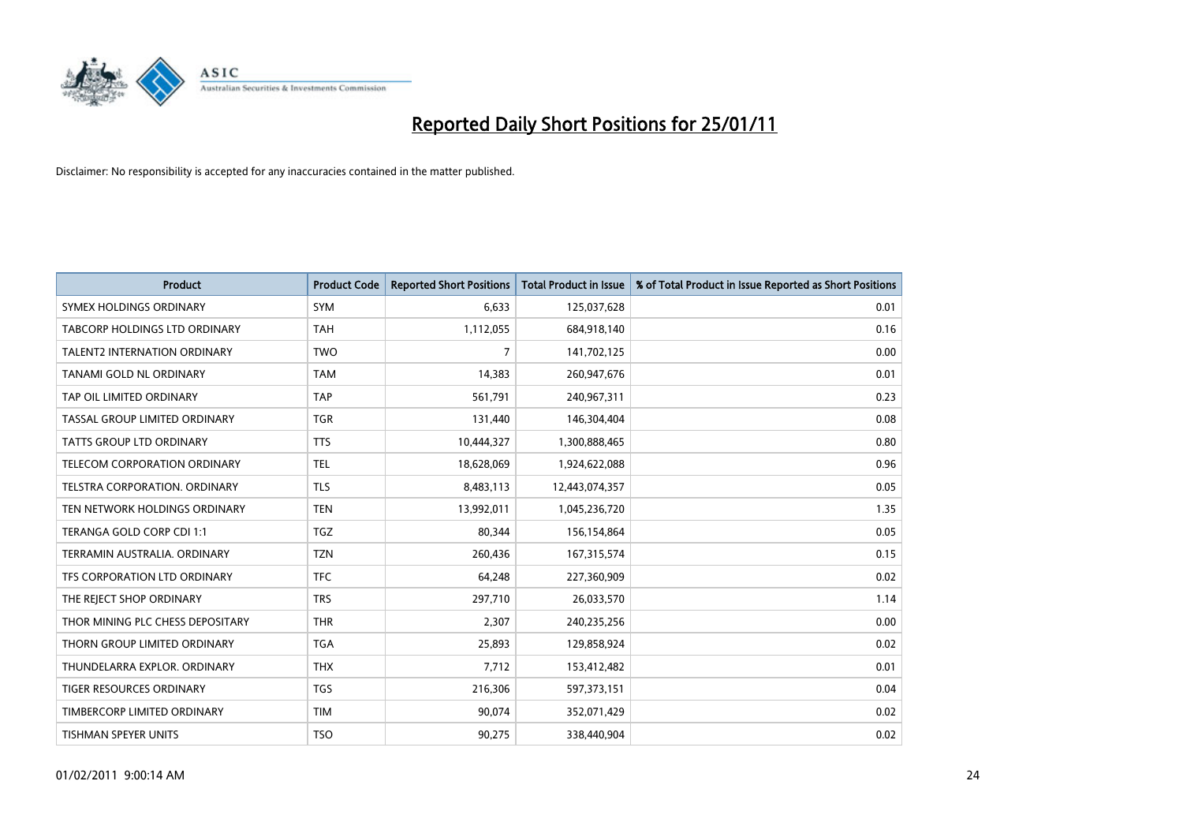

| <b>Product</b>                      | <b>Product Code</b> | <b>Reported Short Positions</b> | Total Product in Issue | % of Total Product in Issue Reported as Short Positions |
|-------------------------------------|---------------------|---------------------------------|------------------------|---------------------------------------------------------|
| SYMEX HOLDINGS ORDINARY             | <b>SYM</b>          | 6,633                           | 125,037,628            | 0.01                                                    |
| TABCORP HOLDINGS LTD ORDINARY       | <b>TAH</b>          | 1,112,055                       | 684,918,140            | 0.16                                                    |
| <b>TALENT2 INTERNATION ORDINARY</b> | <b>TWO</b>          | 7                               | 141,702,125            | 0.00                                                    |
| TANAMI GOLD NL ORDINARY             | <b>TAM</b>          | 14,383                          | 260,947,676            | 0.01                                                    |
| TAP OIL LIMITED ORDINARY            | <b>TAP</b>          | 561,791                         | 240,967,311            | 0.23                                                    |
| TASSAL GROUP LIMITED ORDINARY       | <b>TGR</b>          | 131,440                         | 146,304,404            | 0.08                                                    |
| <b>TATTS GROUP LTD ORDINARY</b>     | <b>TTS</b>          | 10,444,327                      | 1,300,888,465          | 0.80                                                    |
| TELECOM CORPORATION ORDINARY        | <b>TEL</b>          | 18,628,069                      | 1,924,622,088          | 0.96                                                    |
| TELSTRA CORPORATION, ORDINARY       | <b>TLS</b>          | 8,483,113                       | 12,443,074,357         | 0.05                                                    |
| TEN NETWORK HOLDINGS ORDINARY       | <b>TEN</b>          | 13,992,011                      | 1,045,236,720          | 1.35                                                    |
| TERANGA GOLD CORP CDI 1:1           | TGZ                 | 80,344                          | 156,154,864            | 0.05                                                    |
| TERRAMIN AUSTRALIA, ORDINARY        | <b>TZN</b>          | 260,436                         | 167,315,574            | 0.15                                                    |
| TFS CORPORATION LTD ORDINARY        | <b>TFC</b>          | 64,248                          | 227,360,909            | 0.02                                                    |
| THE REJECT SHOP ORDINARY            | <b>TRS</b>          | 297,710                         | 26,033,570             | 1.14                                                    |
| THOR MINING PLC CHESS DEPOSITARY    | <b>THR</b>          | 2,307                           | 240,235,256            | 0.00                                                    |
| THORN GROUP LIMITED ORDINARY        | <b>TGA</b>          | 25,893                          | 129,858,924            | 0.02                                                    |
| THUNDELARRA EXPLOR. ORDINARY        | <b>THX</b>          | 7,712                           | 153,412,482            | 0.01                                                    |
| TIGER RESOURCES ORDINARY            | <b>TGS</b>          | 216,306                         | 597,373,151            | 0.04                                                    |
| TIMBERCORP LIMITED ORDINARY         | <b>TIM</b>          | 90,074                          | 352,071,429            | 0.02                                                    |
| TISHMAN SPEYER UNITS                | <b>TSO</b>          | 90,275                          | 338,440,904            | 0.02                                                    |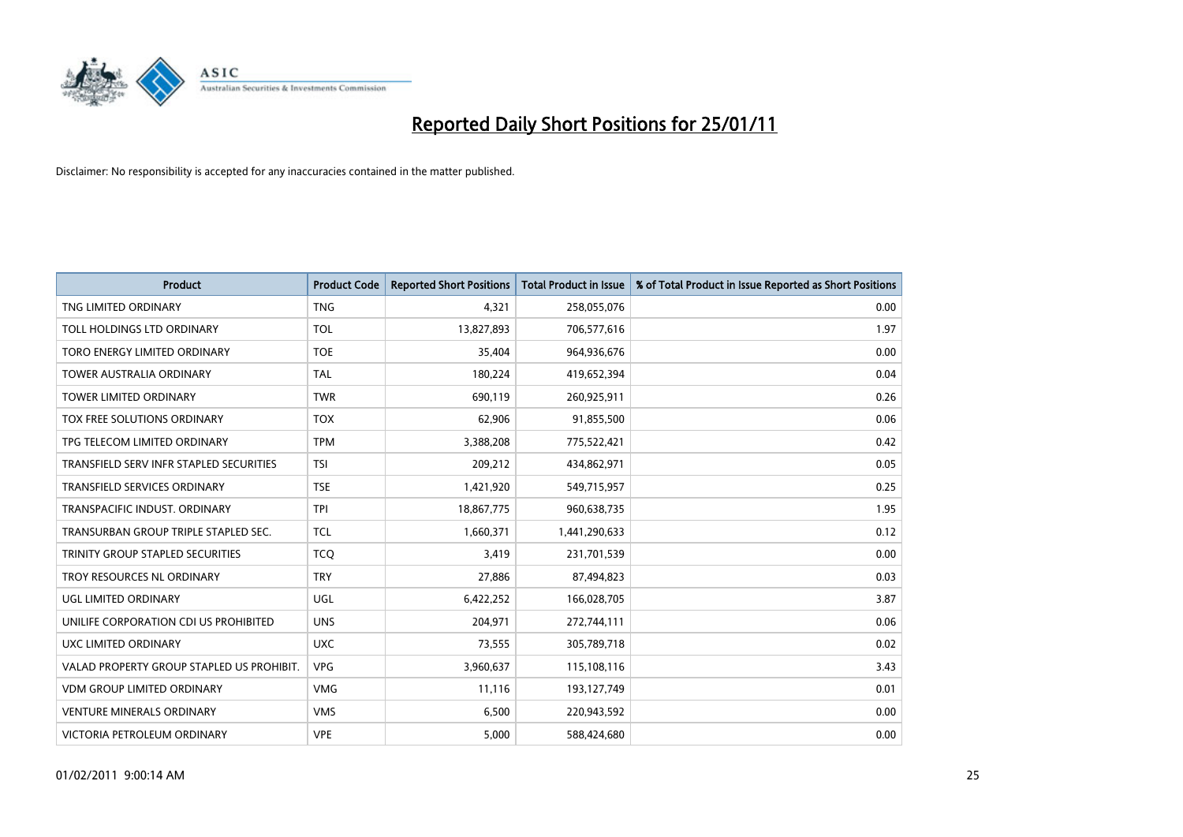

| <b>Product</b>                            | <b>Product Code</b> | <b>Reported Short Positions</b> | <b>Total Product in Issue</b> | % of Total Product in Issue Reported as Short Positions |
|-------------------------------------------|---------------------|---------------------------------|-------------------------------|---------------------------------------------------------|
| TNG LIMITED ORDINARY                      | <b>TNG</b>          | 4.321                           | 258,055,076                   | 0.00                                                    |
| TOLL HOLDINGS LTD ORDINARY                | <b>TOL</b>          | 13,827,893                      | 706,577,616                   | 1.97                                                    |
| TORO ENERGY LIMITED ORDINARY              | <b>TOE</b>          | 35,404                          | 964,936,676                   | 0.00                                                    |
| <b>TOWER AUSTRALIA ORDINARY</b>           | <b>TAL</b>          | 180,224                         | 419,652,394                   | 0.04                                                    |
| <b>TOWER LIMITED ORDINARY</b>             | <b>TWR</b>          | 690,119                         | 260,925,911                   | 0.26                                                    |
| TOX FREE SOLUTIONS ORDINARY               | <b>TOX</b>          | 62,906                          | 91,855,500                    | 0.06                                                    |
| TPG TELECOM LIMITED ORDINARY              | <b>TPM</b>          | 3,388,208                       | 775,522,421                   | 0.42                                                    |
| TRANSFIELD SERV INFR STAPLED SECURITIES   | <b>TSI</b>          | 209,212                         | 434,862,971                   | 0.05                                                    |
| <b>TRANSFIELD SERVICES ORDINARY</b>       | <b>TSE</b>          | 1,421,920                       | 549,715,957                   | 0.25                                                    |
| TRANSPACIFIC INDUST, ORDINARY             | <b>TPI</b>          | 18,867,775                      | 960,638,735                   | 1.95                                                    |
| TRANSURBAN GROUP TRIPLE STAPLED SEC.      | TCL                 | 1,660,371                       | 1,441,290,633                 | 0.12                                                    |
| TRINITY GROUP STAPLED SECURITIES          | <b>TCQ</b>          | 3,419                           | 231,701,539                   | 0.00                                                    |
| TROY RESOURCES NL ORDINARY                | <b>TRY</b>          | 27,886                          | 87,494,823                    | 0.03                                                    |
| UGL LIMITED ORDINARY                      | UGL                 | 6,422,252                       | 166,028,705                   | 3.87                                                    |
| UNILIFE CORPORATION CDI US PROHIBITED     | <b>UNS</b>          | 204,971                         | 272,744,111                   | 0.06                                                    |
| UXC LIMITED ORDINARY                      | <b>UXC</b>          | 73,555                          | 305,789,718                   | 0.02                                                    |
| VALAD PROPERTY GROUP STAPLED US PROHIBIT. | <b>VPG</b>          | 3,960,637                       | 115,108,116                   | 3.43                                                    |
| <b>VDM GROUP LIMITED ORDINARY</b>         | <b>VMG</b>          | 11,116                          | 193,127,749                   | 0.01                                                    |
| <b>VENTURE MINERALS ORDINARY</b>          | <b>VMS</b>          | 6,500                           | 220,943,592                   | 0.00                                                    |
| VICTORIA PETROLEUM ORDINARY               | <b>VPE</b>          | 5,000                           | 588,424,680                   | 0.00                                                    |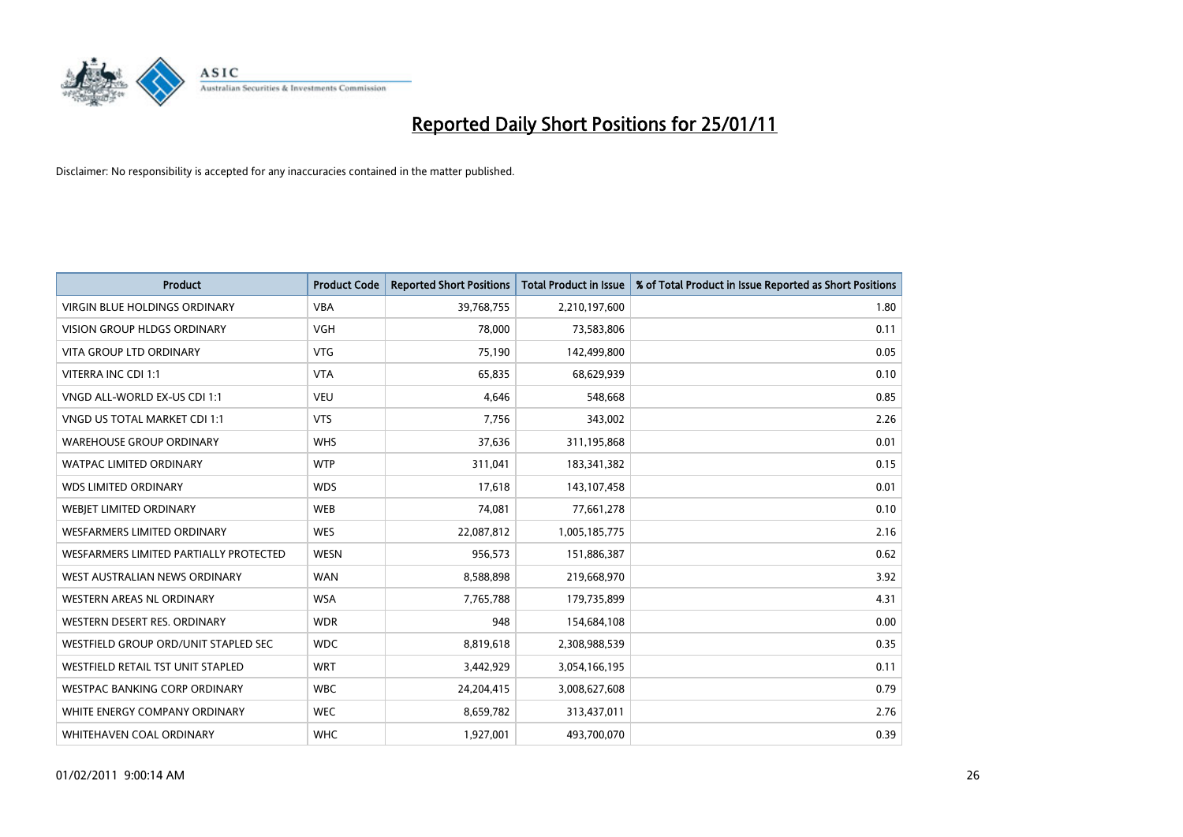

| Product                                | <b>Product Code</b> | <b>Reported Short Positions</b> | <b>Total Product in Issue</b> | % of Total Product in Issue Reported as Short Positions |
|----------------------------------------|---------------------|---------------------------------|-------------------------------|---------------------------------------------------------|
| <b>VIRGIN BLUE HOLDINGS ORDINARY</b>   | <b>VBA</b>          | 39,768,755                      | 2,210,197,600                 | 1.80                                                    |
| VISION GROUP HLDGS ORDINARY            | <b>VGH</b>          | 78,000                          | 73,583,806                    | 0.11                                                    |
| <b>VITA GROUP LTD ORDINARY</b>         | <b>VTG</b>          | 75,190                          | 142,499,800                   | 0.05                                                    |
| VITERRA INC CDI 1:1                    | <b>VTA</b>          | 65,835                          | 68,629,939                    | 0.10                                                    |
| VNGD ALL-WORLD EX-US CDI 1:1           | <b>VEU</b>          | 4,646                           | 548,668                       | 0.85                                                    |
| VNGD US TOTAL MARKET CDI 1:1           | <b>VTS</b>          | 7,756                           | 343,002                       | 2.26                                                    |
| <b>WAREHOUSE GROUP ORDINARY</b>        | <b>WHS</b>          | 37,636                          | 311,195,868                   | 0.01                                                    |
| <b>WATPAC LIMITED ORDINARY</b>         | <b>WTP</b>          | 311,041                         | 183,341,382                   | 0.15                                                    |
| <b>WDS LIMITED ORDINARY</b>            | <b>WDS</b>          | 17,618                          | 143,107,458                   | 0.01                                                    |
| WEBJET LIMITED ORDINARY                | <b>WEB</b>          | 74,081                          | 77,661,278                    | 0.10                                                    |
| <b>WESFARMERS LIMITED ORDINARY</b>     | <b>WES</b>          | 22,087,812                      | 1,005,185,775                 | 2.16                                                    |
| WESFARMERS LIMITED PARTIALLY PROTECTED | <b>WESN</b>         | 956,573                         | 151,886,387                   | 0.62                                                    |
| WEST AUSTRALIAN NEWS ORDINARY          | <b>WAN</b>          | 8,588,898                       | 219,668,970                   | 3.92                                                    |
| <b>WESTERN AREAS NL ORDINARY</b>       | <b>WSA</b>          | 7,765,788                       | 179,735,899                   | 4.31                                                    |
| WESTERN DESERT RES. ORDINARY           | <b>WDR</b>          | 948                             | 154,684,108                   | 0.00                                                    |
| WESTFIELD GROUP ORD/UNIT STAPLED SEC   | <b>WDC</b>          | 8,819,618                       | 2,308,988,539                 | 0.35                                                    |
| WESTFIELD RETAIL TST UNIT STAPLED      | <b>WRT</b>          | 3,442,929                       | 3,054,166,195                 | 0.11                                                    |
| WESTPAC BANKING CORP ORDINARY          | <b>WBC</b>          | 24,204,415                      | 3,008,627,608                 | 0.79                                                    |
| WHITE ENERGY COMPANY ORDINARY          | <b>WEC</b>          | 8,659,782                       | 313,437,011                   | 2.76                                                    |
| WHITEHAVEN COAL ORDINARY               | <b>WHC</b>          | 1,927,001                       | 493,700,070                   | 0.39                                                    |